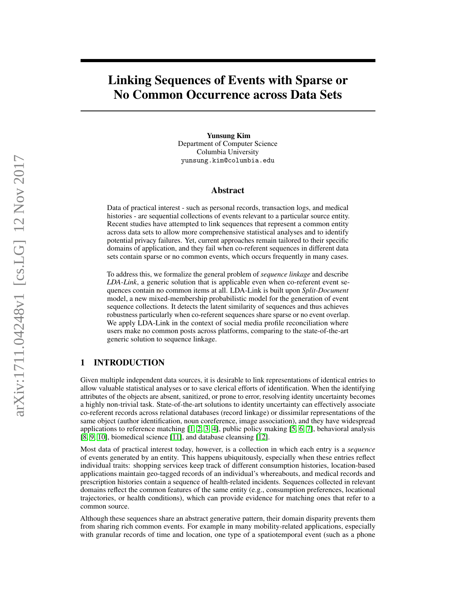# Linking Sequences of Events with Sparse or No Common Occurrence across Data Sets

Yunsung Kim Department of Computer Science Columbia University yunsung.kim@columbia.edu

#### Abstract

Data of practical interest - such as personal records, transaction logs, and medical histories - are sequential collections of events relevant to a particular source entity. Recent studies have attempted to link sequences that represent a common entity across data sets to allow more comprehensive statistical analyses and to identify potential privacy failures. Yet, current approaches remain tailored to their specific domains of application, and they fail when co-referent sequences in different data sets contain sparse or no common events, which occurs frequently in many cases.

To address this, we formalize the general problem of *sequence linkage* and describe *LDA-Link*, a generic solution that is applicable even when co-referent event sequences contain no common items at all. LDA-Link is built upon *Split-Document* model, a new mixed-membership probabilistic model for the generation of event sequence collections. It detects the latent similarity of sequences and thus achieves robustness particularly when co-referent sequences share sparse or no event overlap. We apply LDA-Link in the context of social media profile reconciliation where users make no common posts across platforms, comparing to the state-of-the-art generic solution to sequence linkage.

# 1 INTRODUCTION

Given multiple independent data sources, it is desirable to link representations of identical entries to allow valuable statistical analyses or to save clerical efforts of identification. When the identifying attributes of the objects are absent, sanitized, or prone to error, resolving identity uncertainty becomes a highly non-trivial task. State-of-the-art solutions to identity uncertainty can effectively associate co-referent records across relational databases (record linkage) or dissimilar representations of the same object (author identification, noun coreference, image association), and they have widespread applications to reference matching [\[1,](#page-13-0) [2,](#page-14-0) [3,](#page-14-1) [4\]](#page-14-2), public policy making [\[5,](#page-14-3) [6,](#page-14-4) [7\]](#page-14-5), behavioral analysis [\[8,](#page-14-6) [9,](#page-14-7) [10\]](#page-14-8), biomedical science [\[11\]](#page-14-9), and database cleansing [\[12\]](#page-14-10).

Most data of practical interest today, however, is a collection in which each entry is a *sequence* of events generated by an entity. This happens ubiquitously, especially when these entries reflect individual traits: shopping services keep track of different consumption histories, location-based applications maintain geo-tagged records of an individual's whereabouts, and medical records and prescription histories contain a sequence of health-related incidents. Sequences collected in relevant domains reflect the common features of the same entity (e.g., consumption preferences, locational trajectories, or health conditions), which can provide evidence for matching ones that refer to a common source.

Although these sequences share an abstract generative pattern, their domain disparity prevents them from sharing rich common events. For example in many mobility-related applications, especially with granular records of time and location, one type of a spatiotemporal event (such as a phone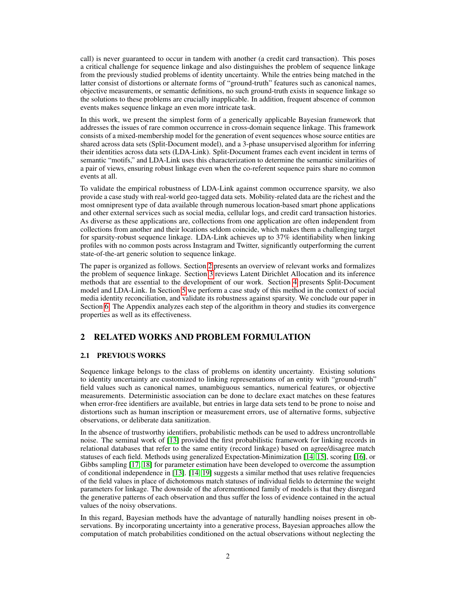call) is never guaranteed to occur in tandem with another (a credit card transaction). This poses a critical challenge for sequence linkage and also distinguishes the problem of sequence linkage from the previously studied problems of identity uncertainty. While the entries being matched in the latter consist of distortions or alternate forms of "ground-truth" features such as canonical names, objective measurements, or semantic definitions, no such ground-truth exists in sequence linkage so the solutions to these problems are crucially inapplicable. In addition, frequent abscence of common events makes sequence linkage an even more intricate task.

In this work, we present the simplest form of a generically applicable Bayesian framework that addresses the issues of rare common occurrence in cross-domain sequence linkage. This framework consists of a mixed-membership model for the generation of event sequences whose source entities are shared across data sets (Split-Document model), and a 3-phase unsupervised algorithm for inferring their identities across data sets (LDA-Link). Split-Document frames each event incident in terms of semantic "motifs," and LDA-Link uses this characterization to determine the semantic similarities of a pair of views, ensuring robust linkage even when the co-referent sequence pairs share no common events at all.

To validate the empirical robustness of LDA-Link against common occurrence sparsity, we also provide a case study with real-world geo-tagged data sets. Mobility-related data are the richest and the most omnipresent type of data available through numerous location-based smart phone applications and other external services such as social media, cellular logs, and credit card transaction histories. As diverse as these applications are, collections from one application are often independent from collections from another and their locations seldom coincide, which makes them a challenging target for sparsity-robust sequence linkage. LDA-Link achieves up to 37% identifiability when linking profiles with no common posts across Instagram and Twitter, significantly outperforming the current state-of-the-art generic solution to sequence linkage.

The paper is organized as follows. Section [2](#page-1-0) presents an overview of relevant works and formalizes the problem of sequence linkage. Section [3](#page-3-0) reviews Latent Dirichlet Allocation and its inference methods that are essential to the development of our work. Section [4](#page-5-0) presents Split-Document model and LDA-Link. In Section [5](#page-7-0) we perform a case study of this method in the context of social media identity reconciliation, and validate its robustness against sparsity. We conclude our paper in Section [6.](#page-13-1) The Appendix analyzes each step of the algorithm in theory and studies its convergence properties as well as its effectiveness.

# <span id="page-1-0"></span>2 RELATED WORKS AND PROBLEM FORMULATION

## 2.1 PREVIOUS WORKS

Sequence linkage belongs to the class of problems on identity uncertainty. Existing solutions to identity uncertainty are customized to linking representations of an entity with "ground-truth" field values such as canonical names, unambiguous semantics, numerical features, or objective measurements. Deterministic association can be done to declare exact matches on these features when error-free identifiers are available, but entries in large data sets tend to be prone to noise and distortions such as human inscription or measurement errors, use of alternative forms, subjective observations, or deliberate data sanitization.

In the absence of trustworthy identifiers, probabilistic methods can be used to address uncrontrollable noise. The seminal work of [\[13\]](#page-14-11) provided the first probabilistic framework for linking records in relational databases that refer to the same entity (record linkage) based on agree/disagree match statuses of each field. Methods using generalized Expectation-Minimization [\[14,](#page-14-12) [15\]](#page-14-13), scoring [\[16\]](#page-14-14), or Gibbs sampling [\[17,](#page-14-15) [18\]](#page-14-16) for parameter estimation have been developed to overcome the assumption of conditional independence in [\[13\]](#page-14-11). [\[14,](#page-14-12) [19\]](#page-14-17) suggests a similar method that uses relative frequencies of the field values in place of dichotomous match statuses of individual fields to determine the weight parameters for linkage. The downside of the aforementioned family of models is that they disregard the generative patterns of each observation and thus suffer the loss of evidence contained in the actual values of the noisy observations.

In this regard, Bayesian methods have the advantage of naturally handling noises present in observations. By incorporating uncertainty into a generative process, Bayesian approaches allow the computation of match probabilities conditioned on the actual observations without neglecting the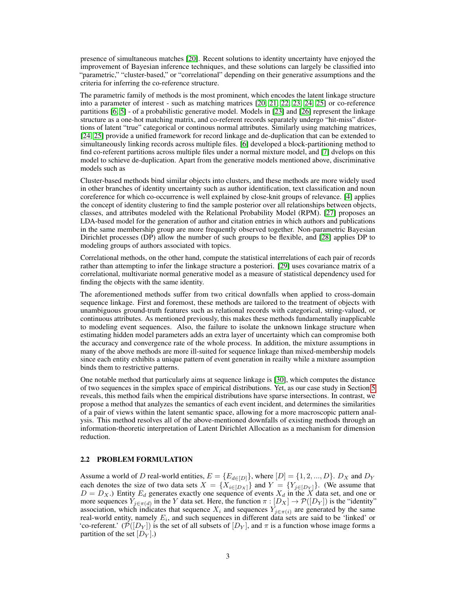presence of simultaneous matches [\[20\]](#page-14-18). Recent solutions to identity uncertainty have enjoyed the improvement of Bayesian inference techniques, and these solutions can largely be classified into "parametric," "cluster-based," or "correlational" depending on their generative assumptions and the criteria for inferring the co-reference structure.

The parametric family of methods is the most prominent, which encodes the latent linkage structure into a parameter of interest - such as matching matrices [\[20,](#page-14-18) [21,](#page-14-19) [22,](#page-14-20) [23,](#page-15-0) [24,](#page-15-1) [25\]](#page-15-2) or co-reference partitions [\[6,](#page-14-4) [5\]](#page-14-3) - of a probabilistic generative model. Models in [\[23\]](#page-15-0) and [\[26\]](#page-15-3) represent the linkage structure as a one-hot matching matrix, and co-referent records separately undergo "hit-miss" distortions of latent "true" categorical or continous normal attributes. Similarly using matching matrices, [\[24,](#page-15-1) [25\]](#page-15-2) provide a unified framework for record linkage and de-duplication that can be extended to simultaneously linking records across multiple files. [\[6\]](#page-14-4) developed a block-partitioning method to find co-referent partitions across multiple files under a normal mixture model, and [\[7\]](#page-14-5) dvelops on this model to schieve de-duplication. Apart from the generative models mentioned above, discriminative models such as

Cluster-based methods bind similar objects into clusters, and these methods are more widely used in other branches of identity uncertainty such as author identification, text classification and noun coreference for which co-occurrence is well explained by close-knit groups of relevance. [\[4\]](#page-14-2) applies the concept of identity clustering to find the sample posterior over all relationships between objects, classes, and attributes modeled with the Relational Probability Model (RPM). [\[27\]](#page-15-4) proposes an LDA-based model for the generation of author and citation entries in which authors and publications in the same membership group are more frequently observed together. Non-parametric Bayesian Dirichlet processes (DP) allow the number of such groups to be flexible, and [\[28\]](#page-15-5) applies DP to modeling groups of authors associated with topics.

Correlational methods, on the other hand, compute the statistical interrelations of each pair of records rather than attempting to infer the linkage structure a posteriori. [\[29\]](#page-15-6) uses covariance matrix of a correlational, multivariate normal generative model as a measure of statistical dependency used for finding the objects with the same identity.

The aforementioned methods suffer from two critical downfalls when applied to cross-domain sequence linkage. First and foremost, these methods are tailored to the treatment of objects with unambiguous ground-truth features such as relational records with categorical, string-valued, or continuous attributes. As mentioned previously, this makes these methods fundamentally inapplicable to modeling event sequences. Also, the failure to isolate the unknown linkage structure when estimating hidden model parameters adds an extra layer of uncertainty which can compromise both the accuracy and convergence rate of the whole process. In addition, the mixture assumptions in many of the above methods are more ill-suited for sequence linkage than mixed-membership models since each entity exhibits a unique pattern of event generation in reailty while a mixture assumption binds them to restrictive patterns.

One notable method that particularly aims at sequence linkage is [\[30\]](#page-15-7), which computes the distance of two sequences in the simplex space of empirical distributions. Yet, as our case study in Section [5](#page-7-0) reveals, this method fails when the empirical distributions have sparse intersections. In contrast, we propose a method that analyzes the semantics of each event incident, and determines the similarities of a pair of views within the latent semantic space, allowing for a more macroscopic pattern analysis. This method resolves all of the above-mentioned downfalls of existing methods through an information-theoretic interpretation of Latent Dirichlet Allocation as a mechanism for dimension reduction.

#### <span id="page-2-0"></span>2.2 PROBLEM FORMULATION

Assume a world of D real-world entities,  $E = \{E_{d \in [D]}\}\$ , where  $[D] = \{1, 2, ..., D\}$ .  $D_X$  and  $D_Y$ each denotes the size of two data sets  $X = \{X_{i \in [D_X]}\}\$ and  $Y = \{Y_{j \in [D_Y]}\}\$ . (We assume that  $D = D_X$ .) Entity  $E_d$  generates exactly one sequence of events  $X_d$  in the X data set, and one or more sequences  $Y_{j \in \pi(d)}$  in the Y data set. Here, the function  $\pi : [D_X] \to \mathcal{P}([D_Y])$  is the "identity" association, which indicates that sequence  $X_i$  and sequences  $Y_{j \in \pi(i)}$  are generated by the same real-world entity, namely  $E_i$ , and such sequences in different data sets are said to be 'linked' or 'co-referent.'  $(\mathcal{P}([D_Y])$  is the set of all subsets of  $[D_Y]$ , and  $\pi$  is a function whose image forms a partition of the set  $[D_Y]$ .)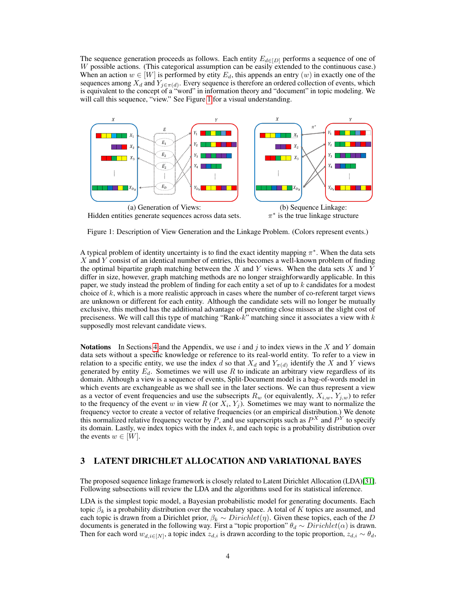The sequence generation proceeds as follows. Each entity  $E_{d\in[D]}$  performs a sequence of one of W possible actions. (This categorical assumption can be easily extended to the continuous case.) When an action  $w \in [W]$  is performed by etity  $E_d$ , this appends an entry  $(w)$  in exactly one of the sequences among  $X_d$  and  $Y_{j \in \pi(d)}$ . Every sequence is therefore an ordered collection of events, which is equivalent to the concept of a "word" in information theory and "document" in topic modeling. We will call this sequence, "view." See Figure [1](#page-3-1) for a visual understanding.



<span id="page-3-1"></span>Figure 1: Description of View Generation and the Linkage Problem. (Colors represent events.)

A typical problem of identity uncertainty is to find the exact identity mapping  $\pi^*$ . When the data sets  $X$  and  $Y$  consist of an identical number of entries, this becomes a well-known problem of finding the optimal bipartite graph matching between the X and Y views. When the data sets X and Y differ in size, however, graph matching methods are no longer straighforwardly applicable. In this paper, we study instead the problem of finding for each entity a set of up to k candidates for a modest choice of  $k$ , which is a more realistic approach in cases where the number of co-referent target views are unknown or different for each entity. Although the candidate sets will no longer be mutually exclusive, this method has the additional advantage of preventing close misses at the slight cost of preciseness. We will call this type of matching "Rank- $k$ " matching since it associates a view with  $k$ supposedly most relevant candidate views.

**Notations** In Sections [4](#page-5-0) and the Appendix, we use i and j to index views in the X and Y domain data sets without a specific knowledge or reference to its real-world entity. To refer to a view in relation to a specific entity, we use the index d so that  $X_d$  and  $Y_{\pi(d)}$  identify the X and Y views generated by entity  $E_d$ . Sometimes we will use R to indicate an arbitrary view regardless of its domain. Although a view is a sequence of events, Split-Document model is a bag-of-words model in which events are exchangeable as we shall see in the later sections. We can thus represent a view as a vector of event frequencies and use the subsecripts  $R_w$  (or equivalently,  $X_{i,w}$ ,  $Y_{j,w}$ ) to refer to the frequency of the event w in view R (or  $X_i, Y_j$ ). Sometimes we may want to normalize the frequency vector to create a vector of relative frequencies (or an empirical distribution.) We denote this normalized relative frequency vector by P, and use superscripts such as  $P^X$  and  $P^Y$  to specify its domain. Lastly, we index topics with the index  $k$ , and each topic is a probability distribution over the events  $w \in [W]$ .

## <span id="page-3-0"></span>3 LATENT DIRICHLET ALLOCATION AND VARIATIONAL BAYES

The proposed sequence linkage framework is closely related to Latent Dirichlet Allocation (LDA)[\[31\]](#page-15-8). Following subsections will review the LDA and the algorithms used for its statistical inference.

LDA is the simplest topic model, a Bayesian probabilistic model for generating documents. Each topic  $β_k$  is a probability distribution over the vocabulary space. A total of K topics are assumed, and each topic is drawn from a Dirichlet prior,  $\beta_k \sim Dirichlet(\eta)$ . Given these topics, each of the D documents is generated in the following way. First a "topic proportion"  $\theta_d \sim Dirichlet(\alpha)$  is drawn. Then for each word  $w_{d,i\in[N]}$ , a topic index  $z_{d,i}$  is drawn according to the topic proportion,  $z_{d,i} \sim \theta_d$ ,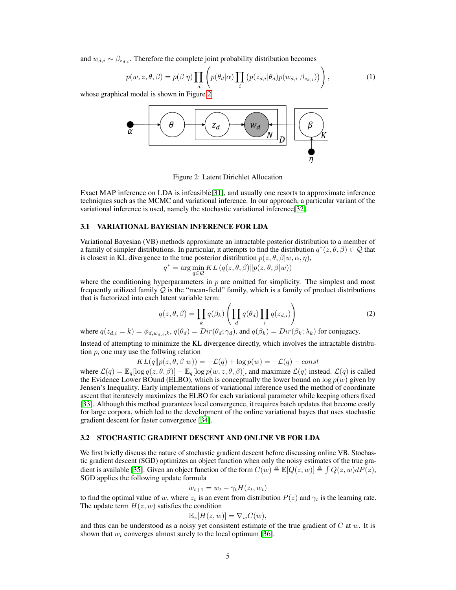and  $w_{d,i} \sim \beta_{z_{d,i}}$ . Therefore the complete joint probability distribution becomes

$$
p(w, z, \theta, \beta) = p(\beta|\eta) \prod_{d} \left( p(\theta_d|\alpha) \prod_{i} \left( p(z_{d,i}|\theta_d) p(w_{d,i}|\beta_{z_{d,i}}) \right) \right),
$$
\n(1)

whose graphical model is shown in Figure [2](#page-4-0)



<span id="page-4-1"></span><span id="page-4-0"></span>Figure 2: Latent Dirichlet Allocation

Exact MAP inference on LDA is infeasible[\[31\]](#page-15-8), and usually one resorts to approximate inference techniques such as the MCMC and variational inference. In our approach, a particular variant of the variational inference is used, namely the stochastic variational inference[\[32\]](#page-15-9).

#### 3.1 VARIATIONAL BAYESIAN INFERENCE FOR LDA

Variational Bayesian (VB) methods approximate an intractable posterior distribution to a member of a family of simpler distributions. In particular, it attempts to find the distribution  $q^*(z, \theta, \beta) \in \mathcal{Q}$  that is closest in KL divergence to the true posterior distribution  $p(z, \theta, \beta | w, \alpha, \eta)$ ,

$$
q^* = \arg\min_{q \in \mathcal{Q}} KL\left(q(z, \theta, \beta) || p(z, \theta, \beta | w)\right)
$$

where the conditioning hyperparameters in  $p$  are omitted for simplicity. The simplest and most frequently utilized family  $Q$  is the "mean-field" family, which is a family of product distributions that is factorized into each latent variable term:

<span id="page-4-2"></span>
$$
q(z,\theta,\beta) = \prod_k q(\beta_k) \left( \prod_d q(\theta_d) \prod_i q(z_{d,i}) \right)
$$
 (2)

where  $q(z_{d,i} = k) = \phi_{d,w_{d,i},k}, q(\theta_d) = Dir(\theta_d; \gamma_d)$ , and  $q(\beta_k) = Dir(\beta_k; \lambda_k)$  for conjugacy.

Instead of attempting to minimize the KL divergence directly, which involves the intractable distribution  $p$ , one may use the follwing relation

$$
KL(q||p(z, \theta, \beta|w)) = -\mathcal{L}(q) + \log p(w) = -\mathcal{L}(q) + const
$$

where  $\mathcal{L}(q) = \mathbb{E}_q[\log q(z, \theta, \beta)] - \mathbb{E}_q[\log p(w, z, \theta, \beta)]$ , and maximize  $\mathcal{L}(q)$  instead.  $\mathcal{L}(q)$  is called the Evidence Lower BOund (ELBO), which is conceptually the lower bound on  $\log p(w)$  given by Jensen's Inequality. Early implementations of variational inference used the method of coordinate ascent that iteratevely maximizes the ELBO for each variational parameter while keeping others fixed [\[33\]](#page-15-10). Although this method guarantees local convergence, it requires batch updates that become costly for large corpora, which led to the development of the online variational bayes that uses stochastic gradient descent for faster convergence [\[34\]](#page-15-11).

## 3.2 STOCHASTIC GRADIENT DESCENT AND ONLINE VB FOR LDA

We first briefly discuss the nature of stochastic gradient descent before discussing online VB. Stochastic gradient descent (SGD) optimizes an object function when only the noisy estimates of the true gra-dient is available [\[35\]](#page-15-12). Given an object function of the form  $C(w) \triangleq \mathbb{E}[Q(z, w)] \triangleq \int Q(z, w) dP(z)$ , SGD applies the following update formula

$$
w_{t+1} = w_t - \gamma_t H(z_t, w_t)
$$

to find the optimal value of w, where  $z_t$  is an event from distribution  $P(z)$  and  $\gamma_t$  is the learning rate. The update term  $H(z, w)$  satisfies the condition

$$
\mathbb{E}_z[H(z,w)] = \nabla_w C(w),
$$

and thus can be understood as a noisy yet consistent estimate of the true gradient of  $C$  at  $w$ . It is shown that  $w_t$  converges almost surely to the local optimum [\[36\]](#page-15-13).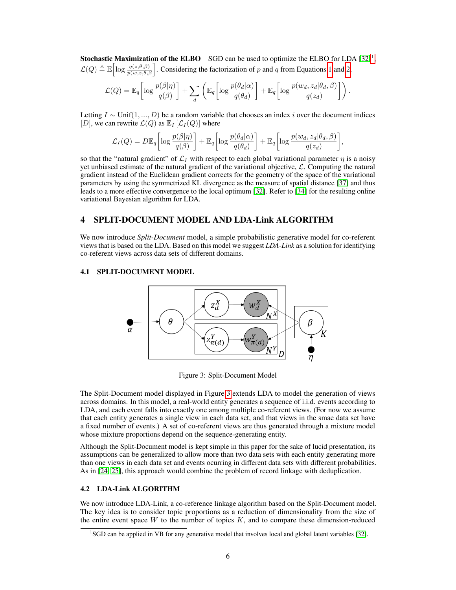**Stochastic Maximization of the ELBO** SGD can be used to optimize the ELBO for LDA  $[32]^1$  $[32]^1$  $[32]^1$ ,  $\mathcal{L}(Q) \triangleq \mathbb{E}\left[\log \frac{q(z,\theta,\beta)}{p(w,z,\theta,\beta)}\right]$ . Considering the factorization of p and q from Equations [1](#page-4-1) and [2,](#page-4-2)

$$
\mathcal{L}(Q) = \mathbb{E}_q \left[ \log \frac{p(\beta|\eta)}{q(\beta)} \right] + \sum_d \left( \mathbb{E}_q \left[ \log \frac{p(\theta_d|\alpha)}{q(\theta_d)} \right] + \mathbb{E}_q \left[ \log \frac{p(w_d, z_d|\theta_d, \beta)}{q(z_d)} \right] \right).
$$

Letting  $I \sim \text{Unif}(1, ..., D)$  be a random variable that chooses an index i over the document indices [D], we can rewrite  $\mathcal{L}(Q)$  as  $\mathbb{E}_I[\mathcal{L}_I(Q)]$  where

$$
\mathcal{L}_I(Q) = D \mathbb{E}_q \left[ \log \frac{p(\beta|\eta)}{q(\beta)} \right] + \mathbb{E}_q \left[ \log \frac{p(\theta_d|\alpha)}{q(\theta_d)} \right] + \mathbb{E}_q \left[ \log \frac{p(w_d, z_d|\theta_d, \beta)}{q(z_d)} \right],
$$

so that the "natural gradient" of  $\mathcal{L}_I$  with respect to each global variational parameter  $\eta$  is a noisy yet unbiased estimate of the natural gradient of the variational objective,  $\mathcal{L}$ . Computing the natural gradient instead of the Euclidean gradient corrects for the geometry of the space of the variational parameters by using the symmetrized KL divergence as the measure of spatial distance [\[37\]](#page-15-14) and thus leads to a more effective convergence to the local optimum [\[32\]](#page-15-9). Refer to [\[34\]](#page-15-11) for the resulting online variational Bayesian algorithm for LDA.

## <span id="page-5-0"></span>4 SPLIT-DOCUMENT MODEL AND LDA-Link ALGORITHM

We now introduce *Split-Document* model, a simple probabilistic generative model for co-referent views that is based on the LDA. Based on this model we suggest *LDA-Link* as a solution for identifying co-referent views across data sets of different domains.

#### 4.1 SPLIT-DOCUMENT MODEL



<span id="page-5-2"></span>Figure 3: Split-Document Model

The Split-Document model displayed in Figure [3](#page-5-2) extends LDA to model the generation of views across domains. In this model, a real-world entity generates a sequence of i.i.d. events according to LDA, and each event falls into exactly one among multiple co-referent views. (For now we assume that each entity generates a single view in each data set, and that views in the smae data set have a fixed number of events.) A set of co-referent views are thus generated through a mixture model whose mixture proportions depend on the sequence-generating entity.

Although the Split-Document model is kept simple in this paper for the sake of lucid presentation, its assumptions can be generalized to allow more than two data sets with each entity generating more than one views in each data set and events ocurring in different data sets with different probabilities. As in [\[24,](#page-15-1) [25\]](#page-15-2), this approach would combine the problem of record linkage with deduplication.

## 4.2 LDA-Link ALGORITHM

We now introduce LDA-Link, a co-reference linkage algorithm based on the Split-Document model. The key idea is to consider topic proportions as a reduction of dimensionality from the size of the entire event space  $W$  to the number of topics  $K$ , and to compare these dimension-reduced

<span id="page-5-1"></span><sup>&</sup>lt;sup>1</sup>SGD can be applied in VB for any generative model that involves local and global latent variables [\[32\]](#page-15-9).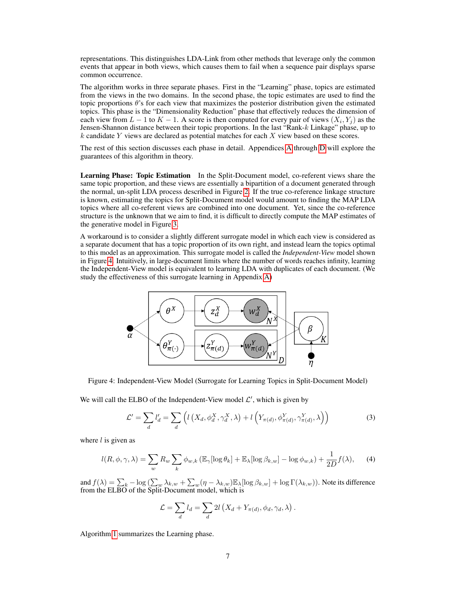representations. This distinguishes LDA-Link from other methods that leverage only the common events that appear in both views, which causes them to fail when a sequence pair displays sparse common occurrence.

The algorithm works in three separate phases. First in the "Learning" phase, topics are estimated from the views in the two domains. In the second phase, the topic estimates are used to find the topic proportions  $\theta$ 's for each view that maximizes the posterior distribution given the estimated topics. This phase is the "Dimensionality Reduction" phase that effectively reduces the dimension of each view from  $L-1$  to  $K-1$ . A score is then computed for every pair of views  $(X_i, Y_j)$  as the Jensen-Shannon distance between their topic proportions. In the last "Rank-k Linkage" phase, up to  $k$  candidate Y views are declared as potential matches for each  $X$  view based on these scores.

The rest of this section discusses each phase in detail. Appendices [A](#page-16-0) through [D](#page-21-0) will explore the guarantees of this algorithm in theory.

Learning Phase: Topic Estimation In the Split-Document model, co-referent views share the same topic proportion, and these views are essentially a bipartition of a document generated through the normal, un-split LDA process described in Figure [2.](#page-4-0) If the true co-reference linkage structure is known, estimating the topics for Split-Document model would amount to finding the MAP LDA topics where all co-referent views are combined into one document. Yet, since the co-reference structure is the unknown that we aim to find, it is difficult to directly compute the MAP estimates of the generative model in Figure [3.](#page-5-2)

A workaround is to consider a slightly different surrogate model in which each view is considered as a separate document that has a topic proportion of its own right, and instead learn the topics optimal to this model as an approximation. This surrogate model is called the *Independent-View* model shown in Figure [4.](#page-6-0) Intuitively, in large-document limits where the number of words reaches infinity, learning the Independent-View model is equivalent to learning LDA with duplicates of each document. (We study the effectiveness of this surrogate learning in Appendix [A\)](#page-16-0)



Figure 4: Independent-View Model (Surrogate for Learning Topics in Split-Document Model)

We will call the ELBO of the Independent-View model  $\mathcal{L}'$ , which is given by

<span id="page-6-0"></span>
$$
\mathcal{L}' = \sum_{d} l'_{d} = \sum_{d} \left( l \left( X_{d}, \phi_{d}^{X}, \gamma_{d}^{X}, \lambda \right) + l \left( Y_{\pi(d)}, \phi_{\pi(d)}^{Y}, \gamma_{\pi(d)}^{Y}, \lambda \right) \right)
$$
(3)

where  $l$  is given as

$$
l(R, \phi, \gamma, \lambda) = \sum_{w} R_{w} \sum_{k} \phi_{w,k} \left( \mathbb{E}_{\gamma} [\log \theta_{k}] + \mathbb{E}_{\lambda} [\log \beta_{k,w}] - \log \phi_{w,k} \right) + \frac{1}{2D} f(\lambda), \tag{4}
$$

and  $f(\lambda) = \sum_{k} -\log \left( \sum_{w} \lambda_{k,w} + \sum_{w} (\eta - \lambda_{k,w}) \mathbb{E}_{\lambda} [\log \beta_{k,w}] + \log \Gamma(\lambda_{k,w}) \right)$ . Note its difference from the ELBO of the Split-Document model, which is

<span id="page-6-1"></span>
$$
\mathcal{L} = \sum_{d} l_d = \sum_{d} 2l \left( X_d + Y_{\pi(d)}, \phi_d, \gamma_d, \lambda \right).
$$

Algorithm [1](#page-7-1) summarizes the Learning phase.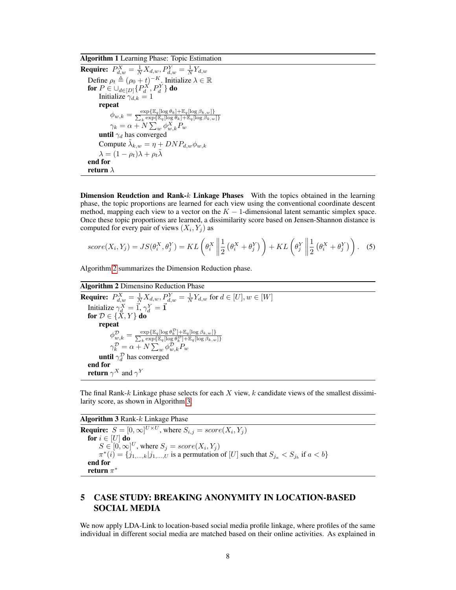Algorithm 1 Learning Phase: Topic Estimation

<span id="page-7-1"></span>Require:  $P^X_{d,w} = \frac{1}{N} X_{d,w}, P^Y_{d,w} = \frac{1}{N} Y_{d,w}$ Define  $\rho_t \triangleq (\rho_0 + t)^{-K}$ . Initialize  $\lambda \in \mathbb{R}$ for  $P\in \cup_{d\in[D]}\{P_d^X,P_d^Y\}$  do Initialize  $\gamma_{d,k} = 1$ repeat  $\phi_{w,k} = \frac{\exp\{\mathbb{E}_q[\log \theta_k] + \mathbb{E}_q[\log \beta_{k,w}]\}}{\sum_k \exp\{\mathbb{E}_q[\log \theta_k] + \mathbb{E}_q[\log \beta_{k,w}]\}}$  $\gamma_k = \alpha + N \sum_{w} \phi_{w,k}^X P_w$ until  $\gamma_d$  has converged Compute  $\tilde{\lambda}_{k,w} = \eta + DNP_{d,w} \phi_{w,k}$  $\lambda = (1 - \rho_t)\lambda + \rho_t \tilde{\lambda}$ end for return  $\lambda$ 

**Dimension Reudction and Rank-k Linkage Phases** With the topics obtained in the learning phase, the topic proportions are learned for each view using the conventional coordinate descent method, mapping each view to a vector on the  $K - 1$ -dimensional latent semantic simplex space. Once these topic proportions are learned, a dissimilarity score based on Jensen-Shannon distance is computed for every pair of views  $(X_i, Y_j)$  as

$$
score(X_i, Y_j) = JS(\theta_i^X, \theta_j^Y) = KL\left(\theta_i^X \middle\| \frac{1}{2} (\theta_i^X + \theta_j^Y) \right) + KL\left(\theta_j^Y \middle\| \frac{1}{2} (\theta_i^X + \theta_j^Y) \right). \tag{5}
$$

Algorithm [2](#page-7-2) summarizes the Dimension Reduction phase.

<span id="page-7-2"></span>Algorithm 2 Dimensino Reduction Phase **Require:**  $P^X_{d,w} = \frac{1}{N} X_{d,w}, P^Y_{d,w} = \frac{1}{N} Y_{d,w}$  for  $d \in [U], w \in [W]$ Initialize  $\gamma_d^X = \vec{1}, \gamma_d^Y = \vec{1}$ for  $\mathcal{D} \in \{X, Y\}$  do repeat  $\phi_{w,k}^{\mathcal{D}} = \frac{\exp\{\mathbb{E}_q[\log \theta_k^{\mathcal{D}}\}}{\sum_k \exp\{\mathbb{E}_q[\log \theta_k^{\mathcal{D}}\}}$  $]+\mathbb{E}_{q}[\log \beta_{k,w}]\}$  $\frac{k}{\sqrt{k}} \exp\{\mathbb{E}_q[\log \theta^{\mathcal{D}}_k] + \mathbb{E}_q[\log \beta_{k,w}]\}$  $\gamma^{\mathcal{D}}_k = \alpha + N \sum_{w} \phi^{\mathcal{D}}_{w,k} P_w$ **until**  $\gamma_d^{\mathcal{D}}$  has converged end for **return**  $\gamma^X$  and  $\gamma^Y$ 

The final Rank-k Linkage phase selects for each X view, k candidate views of the smallest dissimilarity score, as shown in Algorithm [3.](#page-7-3)

Algorithm  $3$  Rank- $k$  Linkage Phase

<span id="page-7-3"></span>**Require:**  $S = [0, \infty]^{U \times U}$ , where  $S_{i,j} = score(X_i, Y_j)$ for  $i \in [U]$  do  $S \in [0, \infty]^U$ , where  $S_j = score(X_i, Y_j)$  $\pi^*(i) = \{j_{1,\dots,k} | j_{1,\dots,U} \text{ is a permutation of } [U] \text{ such that } S_{j_a} < S_{j_b} \text{ if } a < b\}$ end for return  $\pi^*$ 

# <span id="page-7-0"></span>5 CASE STUDY: BREAKING ANONYMITY IN LOCATION-BASED SOCIAL MEDIA

We now apply LDA-Link to location-based social media profile linkage, where profiles of the same individual in different social media are matched based on their online activities. As explained in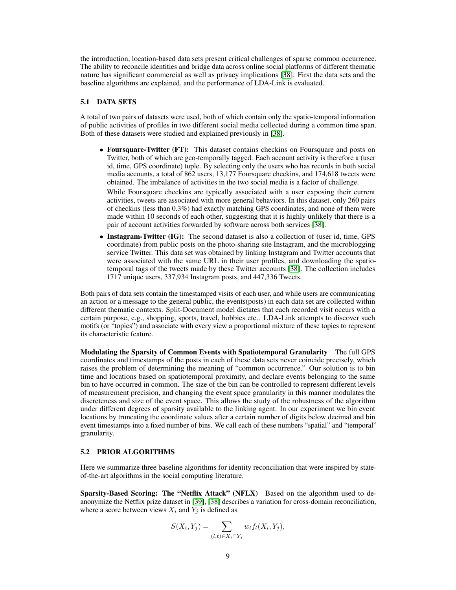the introduction, location-based data sets present critical challenges of sparse common occurrence. The ability to reconcile identities and bridge data across online social platforms of different thematic nature has significant commercial as well as privacy implications [\[38\]](#page-15-15). First the data sets and the baseline algorithms are explained, and the performance of LDA-Link is evaluated.

#### 5.1 DATA SETS

A total of two pairs of datasets were used, both of which contain only the spatio-temporal information of public activities of profiles in two different social media collected during a common time span. Both of these datasets were studied and explained previously in [\[38\]](#page-15-15).

• Foursquare-Twitter (FT): This dataset contains checkins on Foursquare and posts on Twitter, both of which are geo-temporally tagged. Each account activity is therefore a (user id, time, GPS coordinate) tuple. By selecting only the users who has records in both social media accounts, a total of 862 users, 13,177 Foursquare checkins, and 174,618 tweets were obtained. The imbalance of activities in the two social media is a factor of challenge.

While Foursquare checkins are typically associated with a user exposing their current activities, tweets are associated with more general behaviors. In this dataset, only 260 pairs of checkins (less than 0.3%) had exactly matching GPS coordinates, and none of them were made within 10 seconds of each other, suggesting that it is highly unlikely that there is a pair of account activities forwarded by software across both services [\[38\]](#page-15-15).

• Instagram-Twitter (IG): The second dataset is also a collection of (user id, time, GPS) coordinate) from public posts on the photo-sharing site Instagram, and the microblogging service Twitter. This data set was obtained by linking Instagram and Twitter accounts that were associated with the same URL in their user profiles, and downloading the spatiotemporal tags of the tweets made by these Twitter accounts [\[38\]](#page-15-15). The collection includes 1717 unique users, 337,934 Instagram posts, and 447,336 Tweets.

Both pairs of data sets contain the timestamped visits of each user, and while users are communicating an action or a message to the general public, the events(posts) in each data set are collected within different thematic contexts. Split-Document model dictates that each recorded visit occurs with a certain purpose, e.g., shopping, sports, travel, hobbies etc.. LDA-Link attempts to discover such motifs (or "topics") and associate with every view a proportional mixture of these topics to represent its characteristic feature.

Modulating the Sparsity of Common Events with Spatiotemporal Granularity The full GPS coordinates and timestamps of the posts in each of these data sets never coincide precisely, which raises the problem of determining the meaning of "common occurrence." Our solution is to bin time and locations based on spatiotemporal proximity, and declare events belonging to the same bin to have occurred in common. The size of the bin can be controlled to represent different levels of measurement precision, and changing the event space granularity in this manner modulates the discreteness and size of the event space. This allows the study of the robustness of the algorithm under different degrees of sparsity available to the linking agent. In our experiment we bin event locations by truncating the coordinate values after a certain number of digits below decimal and bin event timestamps into a fixed number of bins. We call each of these numbers "spatial" and "temporal" granularity.

#### 5.2 PRIOR ALGORITHMS

Here we summarize three baseline algorithms for identity reconciliation that were inspired by stateof-the-art algorithms in the social computing literature.

Sparsity-Based Scoring: The "Netflix Attack" (NFLX) Based on the algorithm used to deanonymize the Netflix prize dataset in [\[39\]](#page-15-16), [\[38\]](#page-15-15) describes a variation for cross-domain reconciliation, where a score between views  $X_i$  and  $Y_j$  is defined as

$$
S(X_i, Y_j) = \sum_{(l,t) \in X_i \cap Y_j} w_l f_l(X_i, Y_j),
$$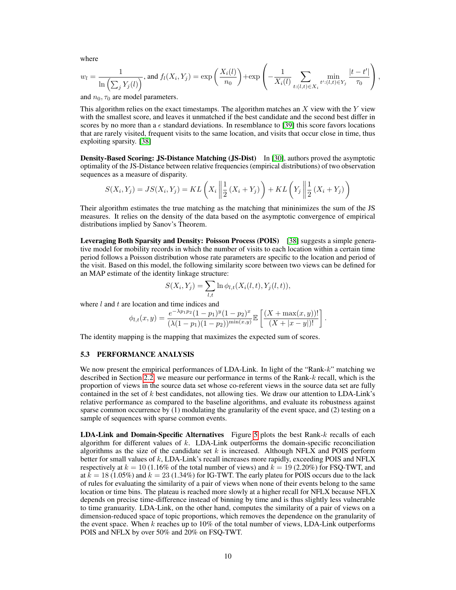where

$$
w_l = \frac{1}{\ln\left(\sum_j Y_j(l)\right)}, \text{ and } f_l(X_i, Y_j) = \exp\left(\frac{X_i(l)}{n_0}\right) + \exp\left(-\frac{1}{X_i(l)} \sum_{t:(l,t)\in X_i} \min_{t':(l,t)\in Y_j} \frac{|t-t'|}{\tau_0}\right),
$$

and  $n_0$ ,  $\tau_0$  are model parameters.

This algorithm relies on the exact timestamps. The algorithm matches an  $X$  view with the  $Y$  view with the smallest score, and leaves it unmatched if the best candidate and the second best differ in scores by no more than a  $\epsilon$  standard deviations. In resemblance to [\[39\]](#page-15-16) this score favors locations that are rarely visited, frequent visits to the same location, and visits that occur close in time, thus exploiting sparsity. [\[38\]](#page-15-15)

Density-Based Scoring: JS-Distance Matching (JS-Dist) In [\[30\]](#page-15-7), authors proved the asymptotic optimality of the JS-Distance between relative frequencies (empirical distributions) of two observation sequences as a measure of disparity.

$$
S(X_i, Y_j) = JS(X_i, Y_j) = KL\left(X_i \middle\| \frac{1}{2} (X_i + Y_j)\right) + KL\left(Y_j \middle\| \frac{1}{2} (X_i + Y_j)\right)
$$

Their algorithm estimates the true matching as the matching that mininimizes the sum of the JS measures. It relies on the density of the data based on the asymptotic convergence of empirical distributions implied by Sanov's Theorem.

Leveraging Both Sparsity and Density: Poisson Process (POIS) [\[38\]](#page-15-15) suggests a simple generative model for mobility records in which the number of visits to each location within a certain time period follows a Poisson distribution whose rate parameters are specific to the location and period of the visit. Based on this model, the following similarity score between two views can be defined for an MAP estimate of the identity linkage structure:

$$
S(X_i, Y_j) = \sum_{l,t} \ln \phi_{l,t}(X_i(l,t), Y_j(l,t)),
$$

where  $l$  and  $t$  are location and time indices and

$$
\phi_{l,t}(x,y) = \frac{e^{-\lambda p_1 p_2} (1-p_1)^y (1-p_2)^x}{(\lambda(1-p_1)(1-p_2))^{\min(x,y)}} \mathbb{E}\left[\frac{(X+\max(x,y))!}{(X+|x-y|)!}\right].
$$

The identity mapping is the mapping that maximizes the expected sum of scores.

#### 5.3 PERFORMANCE ANALYSIS

We now present the empirical performances of LDA-Link. In light of the "Rank-k" matching we described in Section [2.2,](#page-2-0) we measure our performance in terms of the Rank-k recall, which is the proportion of views in the source data set whose co-referent views in the source data set are fully contained in the set of  $k$  best candidates, not allowing ties. We draw our attention to LDA-Link's relative performance as compared to the baseline algorithms, and evaluate its robustness against sparse common occurrence by (1) modulating the granularity of the event space, and (2) testing on a sample of sequences with sparse common events.

**LDA-Link and Domain-Specific Alternatives** Figure [5](#page-10-0) plots the best Rank- $k$  recalls of each algorithm for different values of k. LDA-Link outperforms the domain-specific reconciliation algorithms as the size of the candidate set  $k$  is increased. Although NFLX and POIS perform better for small values of  $k$ , LDA-Link's recall increases more rapidly, exceeding POIS and NFLX respectively at  $k = 10$  (1.16% of the total number of views) and  $k = 19$  (2.20%) for FSQ-TWT, and at  $k = 18 (1.05\%)$  and  $k = 23 (1.34\%)$  for IG-TWT. The early plateu for POIS occurs due to the lack of rules for evaluating the similarity of a pair of views when none of their events belong to the same location or time bins. The plateau is reached more slowly at a higher recall for NFLX because NFLX depends on precise time-difference instead of binning by time and is thus slightly less vulnerable to time granuarity. LDA-Link, on the other hand, computes the similarity of a pair of views on a dimension-reduced space of topic proportions, which removes the dependence on the granularity of the event space. When  $k$  reaches up to 10% of the total number of views, LDA-Link outperforms POIS and NFLX by over 50% and 20% on FSQ-TWT.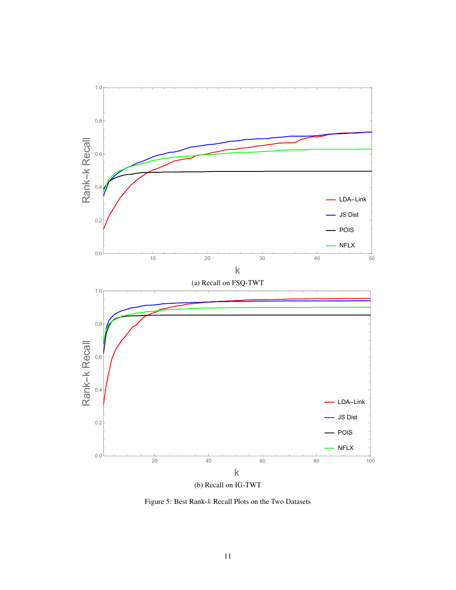

<span id="page-10-0"></span>Figure 5: Best Rank-k Recall Plots on the Two Datasets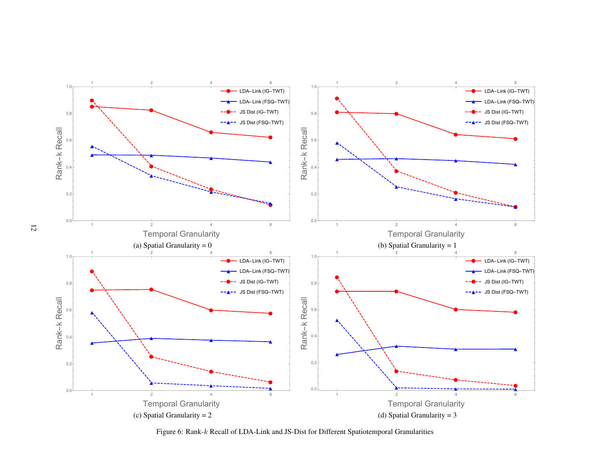<span id="page-11-0"></span>

Figure 6: Rank-k Recall of LDA-Link and JS-Dist for Different Spatiotemporal Granularities

12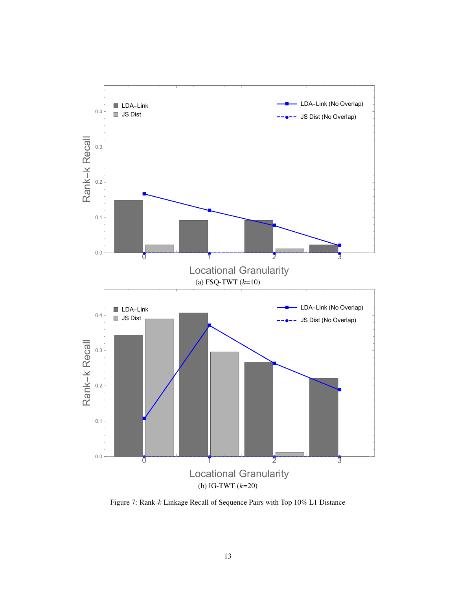

<span id="page-12-0"></span>Figure 7: Rank-k Linkage Recall of Sequence Pairs with Top 10% L1 Distance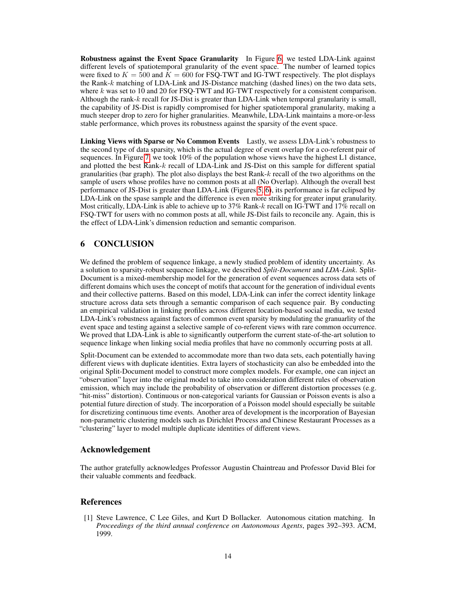Robustness against the Event Space Granularity In Figure [6,](#page-11-0) we tested LDA-Link against different levels of spatiotemporal granularity of the event space. The number of learned topics were fixed to  $K = 500$  and  $K = 600$  for FSO-TWT and IG-TWT respectively. The plot displays the Rank- $k$  matching of LDA-Link and JS-Distance matching (dashed lines) on the two data sets, where k was set to 10 and 20 for FSQ-TWT and IG-TWT respectively for a consistent comparison. Although the rank-k recall for JS-Dist is greater than LDA-Link when temporal granularity is small, the capability of JS-Dist is rapidly compromised for higher spatiotemporal granularity, making a much steeper drop to zero for higher granularities. Meanwhile, LDA-Link maintains a more-or-less stable performance, which proves its robustness against the sparsity of the event space.

Linking Views with Sparse or No Common Events Lastly, we assess LDA-Link's robustness to the second type of data sparsity, which is the actual degree of event overlap for a co-referent pair of sequences. In Figure [7,](#page-12-0) we took 10% of the population whose views have the highest L1 distance, and plotted the best Rank-k recall of LDA-Link and JS-Dist on this sample for different spatial granularities (bar graph). The plot also displays the best Rank- $k$  recall of the two algorithms on the sample of users whose profiles have no common posts at all (No Overlap). Although the overall best performance of JS-Dist is greater than LDA-Link (Figures [5,](#page-10-0) [6\)](#page-11-0), its performance is far eclipsed by LDA-Link on the spase sample and the difference is even more striking for greater input granularity. Most critically, LDA-Link is able to achieve up to 37% Rank-k recall on IG-TWT and 17% recall on FSQ-TWT for users with no common posts at all, while JS-Dist fails to reconcile any. Again, this is the effect of LDA-Link's dimension reduction and semantic comparison.

# <span id="page-13-1"></span>6 CONCLUSION

We defined the problem of sequence linkage, a newly studied problem of identity uncertainty. As a solution to sparsity-robust sequence linkage, we described *Split-Document* and *LDA-Link*. Split-Document is a mixed-membership model for the generation of event sequences across data sets of different domains which uses the concept of motifs that account for the generation of individual events and their collective patterns. Based on this model, LDA-Link can infer the correct identity linkage structure across data sets through a semantic comparison of each sequence pair. By conducting an empirical validation in linking profiles across different location-based social media, we tested LDA-Link's robustness against factors of common event sparsity by modulating the granuarlity of the event space and testing against a selective sample of co-referent views with rare common occurrence. We proved that LDA-Link is able to significantly outperform the current state-of-the-art solution to sequence linkage when linking social media profiles that have no commonly occurring posts at all.

Split-Document can be extended to accommodate more than two data sets, each potentially having different views with duplicate identities. Extra layers of stochasticity can also be embedded into the original Split-Document model to construct more complex models. For example, one can inject an "observation" layer into the original model to take into consideration different rules of observation emission, which may include the probability of observation or different distortion processes (e.g. "hit-miss" distortion). Continuous or non-categorical variants for Gaussian or Poisson events is also a potential future direction of study. The incorporation of a Poisson model should especially be suitable for discretizing continuous time events. Another area of development is the incorporation of Bayesian non-parametric clustering models such as Dirichlet Process and Chinese Restaurant Processes as a "clustering" layer to model multiple duplicate identities of different views.

## Acknowledgement

The author gratefully acknowledges Professor Augustin Chaintreau and Professor David Blei for their valuable comments and feedback.

## References

<span id="page-13-0"></span>[1] Steve Lawrence, C Lee Giles, and Kurt D Bollacker. Autonomous citation matching. In *Proceedings of the third annual conference on Autonomous Agents*, pages 392–393. ACM, 1999.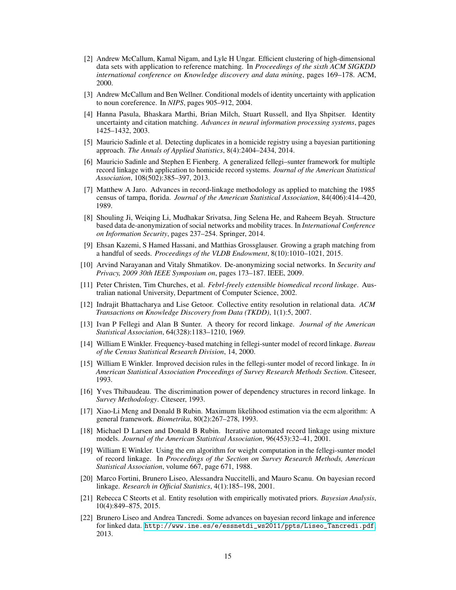- <span id="page-14-0"></span>[2] Andrew McCallum, Kamal Nigam, and Lyle H Ungar. Efficient clustering of high-dimensional data sets with application to reference matching. In *Proceedings of the sixth ACM SIGKDD international conference on Knowledge discovery and data mining*, pages 169–178. ACM, 2000.
- <span id="page-14-1"></span>[3] Andrew McCallum and Ben Wellner. Conditional models of identity uncertainty with application to noun coreference. In *NIPS*, pages 905–912, 2004.
- <span id="page-14-2"></span>[4] Hanna Pasula, Bhaskara Marthi, Brian Milch, Stuart Russell, and Ilya Shpitser. Identity uncertainty and citation matching. *Advances in neural information processing systems*, pages 1425–1432, 2003.
- <span id="page-14-3"></span>[5] Mauricio Sadinle et al. Detecting duplicates in a homicide registry using a bayesian partitioning approach. *The Annals of Applied Statistics*, 8(4):2404–2434, 2014.
- <span id="page-14-4"></span>[6] Mauricio Sadinle and Stephen E Fienberg. A generalized fellegi–sunter framework for multiple record linkage with application to homicide record systems. *Journal of the American Statistical Association*, 108(502):385–397, 2013.
- <span id="page-14-5"></span>[7] Matthew A Jaro. Advances in record-linkage methodology as applied to matching the 1985 census of tampa, florida. *Journal of the American Statistical Association*, 84(406):414–420, 1989.
- <span id="page-14-6"></span>[8] Shouling Ji, Weiqing Li, Mudhakar Srivatsa, Jing Selena He, and Raheem Beyah. Structure based data de-anonymization of social networks and mobility traces. In *International Conference on Information Security*, pages 237–254. Springer, 2014.
- <span id="page-14-7"></span>[9] Ehsan Kazemi, S Hamed Hassani, and Matthias Grossglauser. Growing a graph matching from a handful of seeds. *Proceedings of the VLDB Endowment*, 8(10):1010–1021, 2015.
- <span id="page-14-8"></span>[10] Arvind Narayanan and Vitaly Shmatikov. De-anonymizing social networks. In *Security and Privacy, 2009 30th IEEE Symposium on*, pages 173–187. IEEE, 2009.
- <span id="page-14-9"></span>[11] Peter Christen, Tim Churches, et al. *Febrl-freely extensible biomedical record linkage*. Australian national University, Department of Computer Science, 2002.
- <span id="page-14-10"></span>[12] Indrajit Bhattacharya and Lise Getoor. Collective entity resolution in relational data. *ACM Transactions on Knowledge Discovery from Data (TKDD)*, 1(1):5, 2007.
- <span id="page-14-11"></span>[13] Ivan P Fellegi and Alan B Sunter. A theory for record linkage. *Journal of the American Statistical Association*, 64(328):1183–1210, 1969.
- <span id="page-14-12"></span>[14] William E Winkler. Frequency-based matching in fellegi-sunter model of record linkage. *Bureau of the Census Statistical Research Division*, 14, 2000.
- <span id="page-14-13"></span>[15] William E Winkler. Improved decision rules in the fellegi-sunter model of record linkage. In *in American Statistical Association Proceedings of Survey Research Methods Section*. Citeseer, 1993.
- <span id="page-14-14"></span>[16] Yves Thibaudeau. The discrimination power of dependency structures in record linkage. In *Survey Methodology*. Citeseer, 1993.
- <span id="page-14-15"></span>[17] Xiao-Li Meng and Donald B Rubin. Maximum likelihood estimation via the ecm algorithm: A general framework. *Biometrika*, 80(2):267–278, 1993.
- <span id="page-14-16"></span>[18] Michael D Larsen and Donald B Rubin. Iterative automated record linkage using mixture models. *Journal of the American Statistical Association*, 96(453):32–41, 2001.
- <span id="page-14-17"></span>[19] William E Winkler. Using the em algorithm for weight computation in the fellegi-sunter model of record linkage. In *Proceedings of the Section on Survey Research Methods, American Statistical Association*, volume 667, page 671, 1988.
- <span id="page-14-18"></span>[20] Marco Fortini, Brunero Liseo, Alessandra Nuccitelli, and Mauro Scanu. On bayesian record linkage. *Research in Official Statistics*, 4(1):185–198, 2001.
- <span id="page-14-19"></span>[21] Rebecca C Steorts et al. Entity resolution with empirically motivated priors. *Bayesian Analysis*, 10(4):849–875, 2015.
- <span id="page-14-20"></span>[22] Brunero Liseo and Andrea Tancredi. Some advances on bayesian record linkage and inference for linked data. [http://www.ine.es/e/essnetdi\\_ws2011/ppts/Liseo\\_Tancredi.pdf](http://www.ine.es/e/essnetdi_ws2011/ppts/Liseo_Tancredi.pdf), 2013.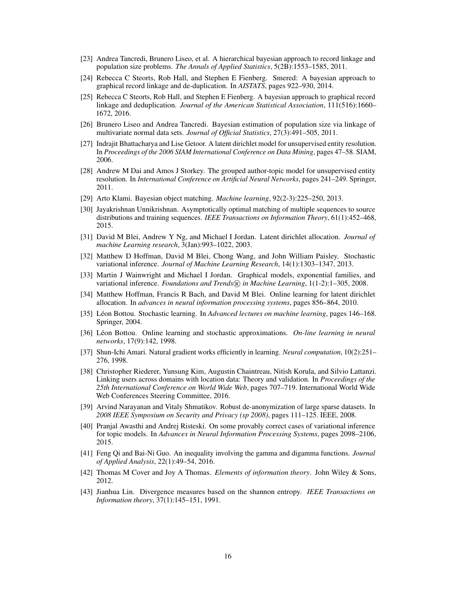- <span id="page-15-0"></span>[23] Andrea Tancredi, Brunero Liseo, et al. A hierarchical bayesian approach to record linkage and population size problems. *The Annals of Applied Statistics*, 5(2B):1553–1585, 2011.
- <span id="page-15-1"></span>[24] Rebecca C Steorts, Rob Hall, and Stephen E Fienberg. Smered: A bayesian approach to graphical record linkage and de-duplication. In *AISTATS*, pages 922–930, 2014.
- <span id="page-15-2"></span>[25] Rebecca C Steorts, Rob Hall, and Stephen E Fienberg. A bayesian approach to graphical record linkage and deduplication. *Journal of the American Statistical Association*, 111(516):1660– 1672, 2016.
- <span id="page-15-3"></span>[26] Brunero Liseo and Andrea Tancredi. Bayesian estimation of population size via linkage of multivariate normal data sets. *Journal of Official Statistics*, 27(3):491–505, 2011.
- <span id="page-15-4"></span>[27] Indrajit Bhattacharya and Lise Getoor. A latent dirichlet model for unsupervised entity resolution. In *Proceedings of the 2006 SIAM International Conference on Data Mining*, pages 47–58. SIAM, 2006.
- <span id="page-15-5"></span>[28] Andrew M Dai and Amos J Storkey. The grouped author-topic model for unsupervised entity resolution. In *International Conference on Artificial Neural Networks*, pages 241–249. Springer, 2011.
- <span id="page-15-6"></span>[29] Arto Klami. Bayesian object matching. *Machine learning*, 92(2-3):225–250, 2013.
- <span id="page-15-7"></span>[30] Jayakrishnan Unnikrishnan. Asymptotically optimal matching of multiple sequences to source distributions and training sequences. *IEEE Transactions on Information Theory*, 61(1):452–468, 2015.
- <span id="page-15-8"></span>[31] David M Blei, Andrew Y Ng, and Michael I Jordan. Latent dirichlet allocation. *Journal of machine Learning research*, 3(Jan):993–1022, 2003.
- <span id="page-15-9"></span>[32] Matthew D Hoffman, David M Blei, Chong Wang, and John William Paisley. Stochastic variational inference. *Journal of Machine Learning Research*, 14(1):1303–1347, 2013.
- <span id="page-15-10"></span>[33] Martin J Wainwright and Michael I Jordan. Graphical models, exponential families, and variational inference. *Foundations and Trends* <sup>R</sup> *in Machine Learning*, 1(1-2):1–305, 2008.
- <span id="page-15-11"></span>[34] Matthew Hoffman, Francis R Bach, and David M Blei. Online learning for latent dirichlet allocation. In *advances in neural information processing systems*, pages 856–864, 2010.
- <span id="page-15-12"></span>[35] Léon Bottou. Stochastic learning. In *Advanced lectures on machine learning*, pages 146–168. Springer, 2004.
- <span id="page-15-13"></span>[36] Léon Bottou. Online learning and stochastic approximations. *On-line learning in neural networks*, 17(9):142, 1998.
- <span id="page-15-14"></span>[37] Shun-Ichi Amari. Natural gradient works efficiently in learning. *Neural computation*, 10(2):251– 276, 1998.
- <span id="page-15-15"></span>[38] Christopher Riederer, Yunsung Kim, Augustin Chaintreau, Nitish Korula, and Silvio Lattanzi. Linking users across domains with location data: Theory and validation. In *Proceedings of the 25th International Conference on World Wide Web*, pages 707–719. International World Wide Web Conferences Steering Committee, 2016.
- <span id="page-15-16"></span>[39] Arvind Narayanan and Vitaly Shmatikov. Robust de-anonymization of large sparse datasets. In *2008 IEEE Symposium on Security and Privacy (sp 2008)*, pages 111–125. IEEE, 2008.
- <span id="page-15-17"></span>[40] Pranjal Awasthi and Andrej Risteski. On some provably correct cases of variational inference for topic models. In *Advances in Neural Information Processing Systems*, pages 2098–2106, 2015.
- <span id="page-15-18"></span>[41] Feng Qi and Bai-Ni Guo. An inequality involving the gamma and digamma functions. *Journal of Applied Analysis*, 22(1):49–54, 2016.
- <span id="page-15-19"></span>[42] Thomas M Cover and Joy A Thomas. *Elements of information theory*. John Wiley & Sons, 2012.
- <span id="page-15-20"></span>[43] Jianhua Lin. Divergence measures based on the shannon entropy. *IEEE Transactions on Information theory*, 37(1):145–151, 1991.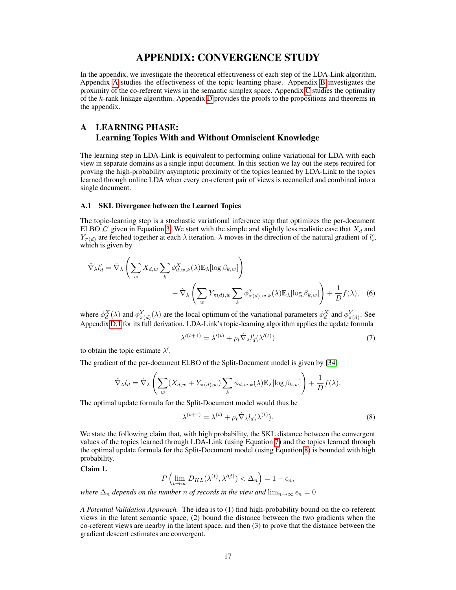# APPENDIX: CONVERGENCE STUDY

In the appendix, we investigate the theoretical effectiveness of each step of the LDA-Link algorithm. Appendix [A](#page-16-0) studies the effectiveness of the topic learning phase. Appendix [B](#page-18-0) investigates the proximity of the co-referent views in the semantic simplex space. Appendix [C](#page-20-0) studies the optimality of the k-rank linkage algorithm. Appendix [D](#page-21-0) provides the proofs to the propositions and theorems in the appendix.

# <span id="page-16-0"></span>A LEARNING PHASE: Learning Topics With and Without Omniscient Knowledge

The learning step in LDA-Link is equivalent to performing online variational for LDA with each view in separate domains as a single input document. In this section we lay out the steps required for proving the high-probability asymptotic proximity of the topics learned by LDA-Link to the topics learned through online LDA when every co-referent pair of views is reconciled and combined into a single document.

#### A.1 SKL Divergence between the Learned Topics

The topic-learning step is a stochastic variational inference step that optimizes the per-document ELBO  $\mathcal{L}'$  given in Equation [3.](#page-6-1) We start with the simple and slightly less realistic case that  $X_d$  and  $Y_{\pi(d)}$  are fetched together at each  $\lambda$  iteration.  $\lambda$  moves in the direction of the natural gradient of  $l'_i$ , which is given by

$$
\hat{\nabla}_{\lambda} l'_{d} = \hat{\nabla}_{\lambda} \left( \sum_{w} X_{d,w} \sum_{k} \phi_{d,w,k}^{X} (\lambda) \mathbb{E}_{\lambda} [\log \beta_{k,w}] \right) \n+ \hat{\nabla}_{\lambda} \left( \sum_{w} Y_{\pi(d),w} \sum_{k} \phi_{\pi(d),w,k}^{Y} (\lambda) \mathbb{E}_{\lambda} [\log \beta_{k,w}] \right) + \frac{1}{D} f(\lambda), \quad (6)
$$

where  $\phi_d^X(\lambda)$  and  $\phi_{\pi(d)}^Y(\lambda)$  are the local optimum of the variational parameters  $\phi_d^X$  and  $\phi_{\pi(d)}^Y$ . See Appendix [D.1](#page-21-1) for its full derivation. LDA-Link's topic-learning algorithm applies the update formula

<span id="page-16-4"></span><span id="page-16-1"></span>
$$
\lambda^{\prime (t+1)} = \lambda^{\prime (t)} + \rho_t \hat{\nabla}_{\lambda} l_d^{\prime} (\lambda^{\prime (t)}) \tag{7}
$$

to obtain the topic estimate  $\lambda'$ .

The gradient of the per-document ELBO of the Split-Document model is given by [\[34\]](#page-15-11)

$$
\hat{\nabla}_{\lambda} l_d = \hat{\nabla}_{\lambda} \left( \sum_{w} (X_{d,w} + Y_{\pi(d),w}) \sum_{k} \phi_{d,w,k}(\lambda) \mathbb{E}_{\lambda} [\log \beta_{k,w}] \right) + \frac{1}{D} f(\lambda).
$$

The optimal update formula for the Split-Document model would thus be

<span id="page-16-2"></span>
$$
\lambda^{(t+1)} = \lambda^{(t)} + \rho_t \hat{\nabla}_{\lambda} l_d(\lambda^{(t)}).
$$
\n(8)

We state the following claim that, with high probability, the SKL distance between the convergent values of the topics learned through LDA-Link (using Equation [7\)](#page-16-1) and the topics learned through the optimal update formula for the Split-Document model (using Equation [8\)](#page-16-2) is bounded with high probability.

<span id="page-16-3"></span>Claim 1.

$$
P\left(\lim_{t\to\infty} D_{KL}(\lambda^{(t)},\lambda'^{(t)}) < \Delta_n\right) = 1 - \epsilon_n,
$$

*where*  $\Delta_n$  *depends on the number n of records in the view and*  $\lim_{n\to\infty} \epsilon_n = 0$ 

*A Potential Validation Approach.* The idea is to (1) find high-probability bound on the co-referent views in the latent semantic space, (2) bound the distance between the two gradients when the co-referent views are nearby in the latent space, and then (3) to prove that the distance between the gradient descent estimates are convergent.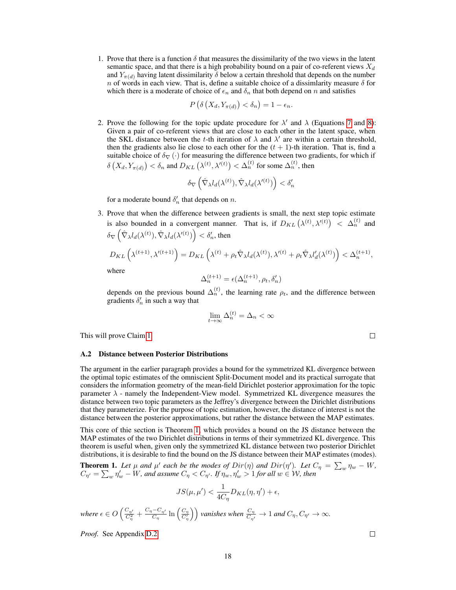1. Prove that there is a function  $\delta$  that measures the dissimilarity of the two views in the latent semantic space, and that there is a high probability bound on a pair of co-referent views  $X_d$ and  $Y_{\pi(d)}$  having latent dissimilarity  $\delta$  below a certain threshold that depends on the number n of words in each view. That is, define a suitable choice of a dissimlarity measure  $\delta$  for which there is a moderate of choice of  $\epsilon_n$  and  $\delta_n$  that both depend on n and satisfies

$$
P\left(\delta\left(X_d, Y_{\pi(d)}\right) < \delta_n\right) = 1 - \epsilon_n.
$$

2. Prove the following for the topic update procedure for  $\lambda'$  and  $\lambda$  (Equations [7](#page-16-1) and [8\)](#page-16-2): Given a pair of co-referent views that are close to each other in the latent space, when the SKL distance between the t-th iteration of  $\lambda$  and  $\lambda'$  are within a certain threshold, then the gradients also lie close to each other for the  $(t + 1)$ -th iteration. That is, find a suitable choice of  $\delta_{\nabla}(\cdot)$  for measuring the difference between two gradients, for which if  $\delta\left(X_d, Y_{\pi(d)}\right) < \delta_n$  and  $D_{KL}\left(\lambda^{(t)}, \lambda'^{(t)}\right) < \Delta_n^{(t)}$  for some  $\Delta_n^{(t)}$ , then

$$
\delta_{\nabla} \left(\hat{\nabla}_{\lambda} l_d(\lambda^{(t)}), \hat{\nabla}_{\lambda} l_d(\lambda^{\prime (t)}) \right) < \delta_n'
$$

for a moderate bound  $\delta'_n$  that depends on n.

3. Prove that when the difference between gradients is small, the next step topic estimate is also bounded in a convergent manner. That is, if  $D_{KL}(\lambda^{(t)}, \lambda'^{(t)}) < \Delta_n^{(t)}$  and  $\delta_\nabla\left(\hat{\nabla}_\lambda l_d(\lambda^{(t)}),\hat{\nabla}_\lambda l_d(\lambda^{\prime(t)})\right)<\delta_n'$ , then  $D_{KL}\left(\lambda^{(t+1)},\lambda'^{(t+1)}\right)=D_{KL}\left(\lambda^{(t)}+\rho_t\hat{\nabla}_\lambda l_d(\lambda^{(t)}),\lambda'^{(t)}+\rho_t\hat{\nabla}_\lambda l'_d(\lambda^{(t)})\right)<\Delta_n^{(t+1)},$ where  $\Delta_n^{(t+1)} = \epsilon(\Delta_n^{(t+1)}, \rho_t, \delta_n')$ 

depends on the previous bound  $\Delta_n^{(t)}$ , the learning rate  $\rho_t$ , and the difference between gradients  $\delta'_n$  in such a way that

$$
\lim_{t \to \infty} \Delta_n^{(t)} = \Delta_n < \infty
$$

This will prove Claim [1.](#page-16-3)

#### A.2 Distance between Posterior Distributions

The argument in the earlier paragraph provides a bound for the symmetrized KL divergence between the optimal topic estimates of the omniscient Split-Document model and its practical surrogate that considers the information geometry of the mean-field Dirichlet posterior approximation for the topic parameter  $\lambda$  - namely the Independent-View model. Symmetrized KL divergence measures the distance between two topic parameters as the Jeffrey's divergence between the Dirichlet distributions that they parameterize. For the purpose of topic estimation, however, the distance of interest is not the distance between the posterior approximations, but rather the distance between the MAP estimates.

This core of thie section is Theorem [1,](#page-18-1) which provides a bound on the JS distance between the MAP estimates of the two Dirichlet distributions in terms of their symmetrized KL divergence. This theorem is useful when, given only the symmetrized KL distance between two posterior Dirichlet distributions, it is desirable to find the bound on the JS distance between their MAP estimates (modes).

<span id="page-17-0"></span>**Theorem 1.** Let  $\mu$  and  $\mu'$  each be the modes of  $Dir(\eta)$  and  $Dir(\eta')$ . Let  $C_{\eta} = \sum_{w} \eta_w - W$ ,  $C_{\eta'} = \sum_{w} \eta'_{w} - W$ , and assume  $C_{\eta} < C_{\eta'}$ . If  $\eta_{w}, \eta'_{w} > 1$  for all  $w \in W$ , then

$$
JS(\mu, \mu') < \frac{1}{4C_{\eta}} D_{KL}(\eta, \eta') + \epsilon,
$$

where  $\epsilon \in O\left(\frac{C_{\eta'}}{C_{\eta}^2} + \frac{C_{\eta} - C_{\eta'}}{C_{\eta}}\right)$  $\frac{C - C_{\eta'}}{C_{\eta}}$   $\ln\left(\frac{C_{\eta}}{C'_{\eta}}\right)$  vanishes when  $\frac{C_{\eta}}{C_{\eta'}} \to 1$  and  $C_{\eta}, C_{\eta'} \to \infty$ .

*Proof.* See Appendix [D.2.](#page-22-0)

 $\Box$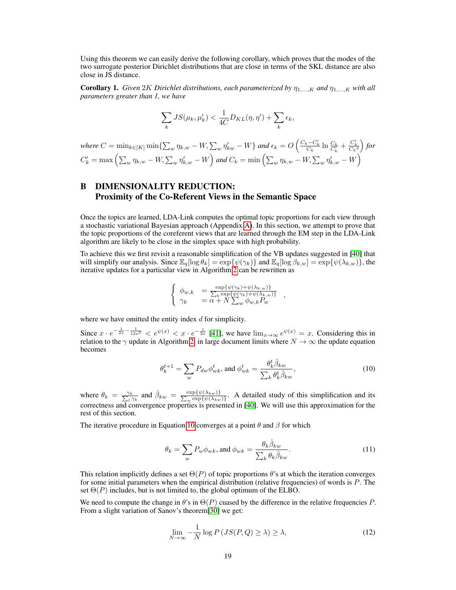Using this theorem we can easily derive the following corollary, which proves that the modes of the two surrogate posterior Dirichlet distributions that are close in terms of the SKL distance are also close in JS distance.

<span id="page-18-1"></span>**Corollary 1.** *Given* 2K *Dirichlet distributions, each parameterized by*  $\eta_{1,...,K}$  *and*  $\eta_{1,...,K}$  *with all parameters greater than 1, we have*

$$
\sum_{k} JS(\mu_k, \mu'_k) < \frac{1}{4C} D_{KL}(\eta, \eta') + \sum_{k} \epsilon_k,
$$

*where*  $C = \min_{k \in [K]} \min \{ \sum_w \eta_{k,w} - W, \sum_w \eta'_{kw} - W \}$  and  $\epsilon_k = O \left( \frac{C_k - C'_k}{C_k} \ln \frac{C_k}{C'_k} + \frac{C'_k}{C_k^2} \right)$  for  $C'_{k} = \max\left(\sum_{w} \eta_{k,w} - W, \sum_{w} \eta'_{k,w} - W\right)$  and  $C_{k} = \min\left(\sum_{w} \eta_{k,w} - W, \sum_{w} \eta'_{k,w} - W\right)$ 

# <span id="page-18-0"></span>B DIMENSIONALITY REDUCTION: Proximity of the Co-Referent Views in the Semantic Space

Once the topics are learned, LDA-Link computes the optimal topic proportions for each view through a stochastic variational Bayesian approach (Appendix [A\)](#page-16-0). In this section, we attempt to prove that the topic proportions of the coreferent views that are learned through the EM step in the LDA-Link algorithm are likely to be close in the simplex space with high probability.

To achieve this we first revisit a reasonable simplification of the VB updates suggested in [\[40\]](#page-15-17) that will simplify our analysis. Since  $\mathbb{E}_q[\log \theta_k] = \exp{\psi(\gamma_k)}$  and  $\mathbb{E}_q[\log \beta_{k,w}] = \exp{\psi(\lambda_{k,w})}$ , the iterative updates for a particular view in Algorithm [2](#page-7-2) can be rewritten as

$$
\begin{cases} \phi_{w,k} = \frac{\exp\{\psi(\gamma_k) + \psi(\lambda_{k,w})\}}{\sum_k \exp\{\psi(\gamma_k) + \psi(\lambda_{k,w})\}} \\ \gamma_k = \alpha + N \sum_w \phi_{w,k} P_w \end{cases}
$$

where we have omitted the entity index  $d$  for simplicity.

<span id="page-18-2"></span>Since  $x \cdot e^{-\frac{1}{2x} - \frac{1}{12x^2}} < e^{\psi(x)} < x \cdot e^{-\frac{1}{2x}}$  [\[41\]](#page-15-18), we have  $\lim_{x \to \infty} e^{\psi(x)} = x$ . Considering this in relation to the  $\gamma$  update in Algorithm [2,](#page-7-2) in large document limits where  $N \to \infty$  the update equation becomes

$$
\theta_k^{t+1} = \sum_w P_{dw} \phi_{wk}^t, \text{ and } \phi_{wk}^t = \frac{\theta_k^t \hat{\beta}_{kw}}{\sum_k \theta_k^t \hat{\beta}_{kw}},
$$
\n(10)

<span id="page-18-3"></span>,

where  $\theta_k = \frac{\gamma_k}{\sum_{k} \gamma_k}$  $\frac{\gamma_k}{\gamma_k}$  and  $\hat{\beta}_{kw} = \frac{\exp\{\psi(\lambda_{kw})\}}{\sum_{w} \exp\{\psi(\lambda_{kw})\}}$ . A detailed study of this simplification and its correctness and convergence properties is presented in [\[40\]](#page-15-17). We will use this approximation for the rest of this section.

The iterative procedure in Equation [10](#page-18-2) converges at a point  $\theta$  and  $\beta$  for which

$$
\theta_k = \sum_{w} P_w \phi_{wk}, \text{ and } \phi_{wk} = \frac{\theta_k \hat{\beta}_{kw}}{\sum_{k} \theta_k \hat{\beta}_{kw}}.
$$
\n(11)

This relation implicitly defines a set  $\Theta(P)$  of topic proportions  $\theta$ 's at which the iteration converges for some initial parameters when the empirical distribution (relative frequencies) of words is  $P$ . The set  $\Theta(P)$  includes, but is not limited to, the global optimum of the ELBO.

We need to compute the change in  $\theta$ 's in  $\Theta(P)$  cuased by the difference in the relative frequencies P. From a slight variation of Sanov's theorem[\[30\]](#page-15-7) we get:

$$
\lim_{N \to \infty} -\frac{1}{N} \log P\left(JS(P, Q) \ge \lambda\right) \ge \lambda,\tag{12}
$$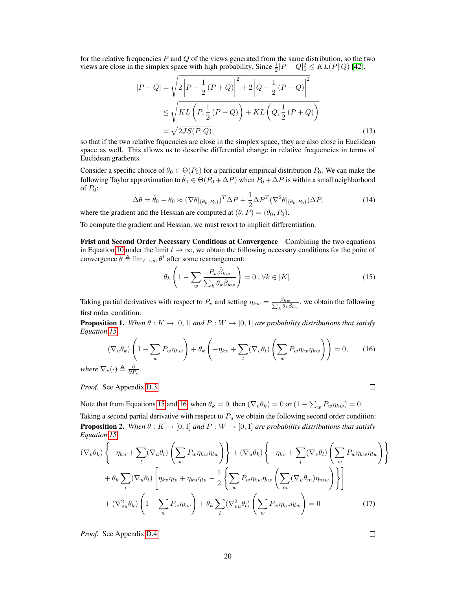for the relative frequencies  $P$  and  $Q$  of the views generated from the same distribution, so the two views are close in the simplex space with high probability. Since  $\frac{1}{2}|P - Q|_1^2 \leq KL(P||Q)$  [\[42\]](#page-15-19),

$$
|P - Q| = \sqrt{2|P - \frac{1}{2}(P + Q)|^{2} + 2|Q - \frac{1}{2}(P + Q)|^{2}}
$$
  
\n
$$
\leq \sqrt{KL\left(P, \frac{1}{2}(P + Q)\right) + KL\left(Q, \frac{1}{2}(P + Q)\right)}
$$
  
\n
$$
= \sqrt{2JS(P, Q)},
$$
\n(13)

so that if the two relative frquencies are close in the simplex space, they are also close in Euclidean space as well. This allows us to describe differential change in relative frequencies in terms of Euclidean gradients.

Consider a specific choice of  $\theta_0 \in \Theta(P_0)$  for a particular empirical distribution  $P_0$ . We can make the following Taylor approximation to  $\hat{\theta}_0 \in \Theta(P_0 + \Delta P)$  when  $P_0 + \Delta P$  is within a small neighborhood of  $P_0$ :

$$
\Delta\theta = \hat{\theta}_0 - \theta_0 \approx (\nabla\theta|_{(\theta_0, P_0)})^T \Delta P + \frac{1}{2} \Delta P^T (\nabla^2 \theta|_{(\theta_0, P_0)}) \Delta P, \tag{14}
$$

where the gradient and the Hessian are computed at  $(\theta, P) = (\theta_0, P_0)$ .

To compute the gradient and Hessian, we must resort to implicit differentiation.

Frist and Second Order Necessary Conditions at Convergence Combining the two equations in Equation [10](#page-18-2) under the limit  $t \to \infty$ , we obtain the following necessary conditions for the point of convergence  $\theta \triangleq \lim_{t \to \infty} \theta^t$  after some rearrangement:

<span id="page-19-0"></span>
$$
\theta_k \left( 1 - \sum_{w} \frac{P_w \hat{\beta}_{kw}}{\sum_{k} \theta_k \hat{\beta}_{kw}} \right) = 0, \forall k \in [K]. \tag{15}
$$

Taking partial derivatives with respect to  $P_v$  and setting  $\eta_{kw} = \frac{\hat{\beta}_{kw}}{\sum_k \theta_k \hat{\beta}_{kw}}$ , we obtain the following first order condition:

**Proposition 1.** When  $\theta: K \to [0, 1]$  and  $P: W \to [0, 1]$  are probability distributions that satisfy *Equation [15,](#page-19-0)*

<span id="page-19-1"></span>
$$
(\nabla_v \theta_k) \left( 1 - \sum_w P_w \eta_{kw} \right) + \theta_k \left( -\eta_{kv} + \sum_l (\nabla_v \theta_l) \left( \sum_w P_w \eta_{lw} \eta_{kw} \right) \right) = 0, \qquad (16)
$$

*where*  $\nabla_v(\cdot) \triangleq \frac{\partial}{\partial P_v}$ .

*Proof.* See Appendix [D.3.](#page-23-0)

Note that from Equations [15](#page-19-0) and [16,](#page-19-1) when  $\theta_k = 0$ , then  $(\nabla_v \theta_k) = 0$  or  $(1 - \sum_w P_w \eta_{kw}) = 0$ .

Taking a second partial derivative with respect to  $P_u$  we obtain the following second order condition: **Proposition 2.** When  $\theta: K \to [0, 1]$  and  $P: W \to [0, 1]$  are probability distributions that satisfy *Equation [15,](#page-19-0)*

$$
(\nabla_v \theta_k) \left\{ -\eta_{ku} + \sum_l (\nabla_u \theta_l) \left( \sum_w P_w \eta_{kw} \eta_{lw} \right) \right\} + (\nabla_u \theta_k) \left\{ -\eta_{kv} + \sum_l (\nabla_v \theta_l) \left( \sum_w P_w \eta_{kw} \eta_{lw} \right) \right\} + \theta_k \sum_l (\nabla_u \theta_l) \left[ \eta_{kv} \eta_{lv} + \eta_{ku} \eta_{lu} - \frac{1}{2} \left\{ \sum_w P_w \eta_{kw} \eta_{lw} \left( \sum_m (\nabla_u \theta_m) \eta_{mw} \right) \right\} \right] + (\nabla_{vu}^2 \theta_k) \left( 1 - \sum_w P_w \eta_{kw} \right) + \theta_k \sum_l (\nabla_{vu}^2 \theta_l) \left( \sum_w P_w \eta_{kw} \eta_{lw} \right) = 0
$$
 (17)

*Proof.* See Appendix [D.4.](#page-24-0)

<span id="page-19-2"></span> $\Box$ 

 $\Box$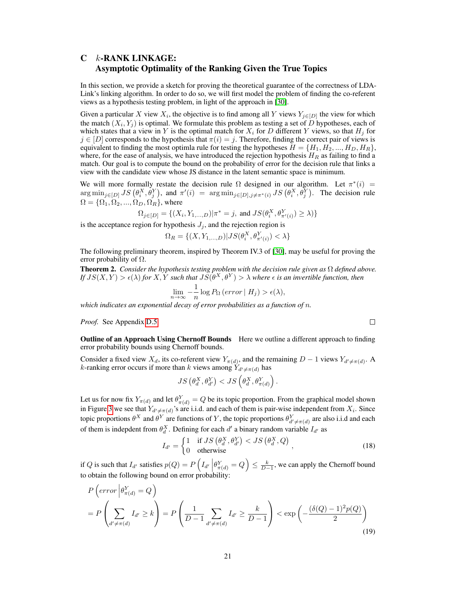# <span id="page-20-0"></span>C k-RANK LINKAGE: Asymptotic Optimality of the Ranking Given the True Topics

In this section, we provide a sketch for proving the theoretical guarantee of the correctness of LDA-Link's linking algorithm. In order to do so, we will first model the problem of finding the co-referent views as a hypothesis testing problem, in light of the approach in [\[30\]](#page-15-7).

Given a particular X view  $X_i$ , the objective is to find among all Y views  $Y_{j\in[D]}$  the view for which the match  $(X_i, Y_j)$  is optimal. We formulate this problem as testing a set of D hypotheses, each of which states that a view in Y is the optimal match for  $X_i$  for D different Y views, so that  $H_i$  for  $j \in [D]$  corresponds to the hypothesis that  $\pi(i) = j$ . Therefore, finding the correct pair of views is equivalent to finding the most optimla rule for testing the hypotheses  $H = \{H_1, H_2, ..., H_D, H_R\}$ , where, for the ease of analysis, we have introduced the rejection hypothesis  $H_R$  as failing to find a match. Our goal is to compute the bound on the probability of error for the decision rule that links a view with the candidate view whose JS distance in the latent semantic space is minimum.

We will more formally restate the decision rule  $\Omega$  designed in our algorithm. Let  $\pi^*(i)$  =  $\arg \min_{j \in [D]} JS \left( \theta_i^X, \theta_j^Y \right)$ , and  $\pi'(i) = \arg \min_{j \in [D], j \neq \pi^*(i)} JS \left( \theta_i^X, \theta_j^Y \right)$ . The decision rule  $\Omega = {\Omega_1, \Omega_2, ..., \Omega_D, \Omega_R}$ , where

$$
\Omega_{j\in[D]} = \{(X_i, Y_{1,...,D}) | \pi^* = j, \text{ and } JS(\theta_i^X, \theta_{\pi'(i)}^Y) \ge \lambda)\}
$$

is the acceptance region for hypothesis  $J_i$ , and the rejection region is

$$
\Omega_R = \{(X, Y_{1,...,D}) | JS(\theta_i^X, \theta_{\pi'(i)}^Y) < \lambda\}
$$

The following preliminary theorem, inspired by Theorem IV.3 of [\[30\]](#page-15-7), may be useful for proving the error probability of  $\Omega$ .

<span id="page-20-1"></span>Theorem 2. *Consider the hypothesis testing problem with the decision rule given as* Ω *defined above. If*  $JS(X, Y) > \epsilon(\lambda)$  *for*  $X, Y$  *such that*  $JS(\theta^X, \theta^Y) > \lambda$  *where*  $\epsilon$  *is an invertible function, then* 

$$
\lim_{n \to \infty} -\frac{1}{n} \log P_{\Omega} \left( error \mid H_j \right) > \epsilon(\lambda),
$$

*which indicates an exponential decay of error probabilities as a function of* n*.*

*Proof.* See Appendix [D.5.](#page-25-0)

Outline of an Approach Using Chernoff Bounds Here we outline a different approach to finding error probability bounds using Chernoff bounds.

Consider a fixed view  $X_d$ , its co-referent view  $Y_{\pi(d)}$ , and the remaining  $D-1$  views  $Y_{d' \neq \pi(d)}$ . A k-ranking error occurs if more than k views among  $Y_{d' \neq \pi(d)}$  has

$$
JS\left(\theta_d^X, \theta_{d'}^Y\right) < JS\left(\theta_d^X, \theta_{\pi(d)}^Y\right).
$$

Let us for now fix  $Y_{\pi(d)}$  and let  $\theta_{\pi(d)}^Y = Q$  be its topic proportion. From the graphical model shown in Figure [3](#page-5-2) we see that  $Y_{d' \neq \pi(d)}$ 's are i.i.d. and each of them is pair-wise independent from  $X_i$ . Since topic proportions  $\theta^X$  and  $\theta^Y$  are functions of Y, the topic proportions  $\theta^Y_{d'\neq \pi(d)}$  are also i.i.d and each of them is indepdent from  $\theta_d^X$ . Defining for each d' a binary random variable  $I_{d'}$  as

$$
I_{d'} = \begin{cases} 1 & \text{if } JS\left(\theta_d^X, \theta_{d'}^Y\right) < JS\left(\theta_d^X, Q\right) \\ 0 & \text{otherwise} \end{cases},\tag{18}
$$

if Q is such that  $I_{d'}$  satisfies  $p(Q) = P\left(I_{d'} \middle| \theta_{\pi(d)}^Y = Q\right) \leq \frac{k}{D-1}$ , we can apply the Chernoff bound to obtain the following bound on error probability:

$$
P\left(error \Big| \theta_{\pi(d)}^Y = Q\right)
$$
  
= 
$$
P\left(\sum_{d' \neq \pi(d)} I_{d'} \ge k\right) = P\left(\frac{1}{D-1} \sum_{d' \neq \pi(d)} I_{d'} \ge \frac{k}{D-1}\right) < \exp\left(-\frac{(\delta(Q)-1)^2 p(Q)}{2}\right)
$$
 (19)

 $\Box$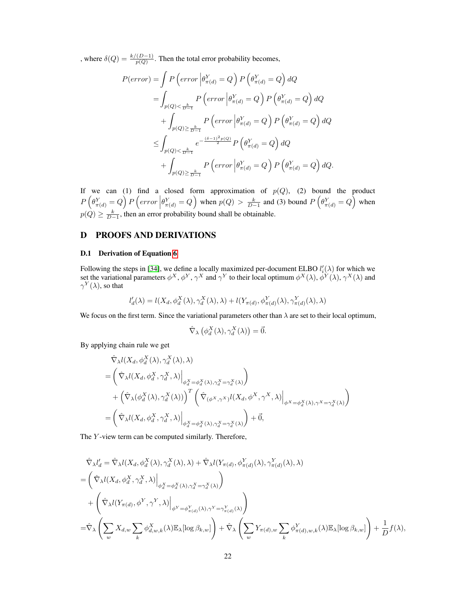, where  $\delta(Q) = \frac{k/(D-1)}{p(Q)}$ . Then the total error probability becomes,

$$
P(error) = \int P\left(error \Big| \theta_{\pi(d)}^{Y} = Q\right) P\left(\theta_{\pi(d)}^{Y} = Q\right) dQ
$$
  
= 
$$
\int_{p(Q) < \frac{k}{D-1}} P\left(error \Big| \theta_{\pi(d)}^{Y} = Q\right) P\left(\theta_{\pi(d)}^{Y} = Q\right) dQ
$$
  
+ 
$$
\int_{p(Q) \geq \frac{k}{D-1}} P\left(error \Big| \theta_{\pi(d)}^{Y} = Q\right) P\left(\theta_{\pi(d)}^{Y} = Q\right) dQ
$$
  

$$
\leq \int_{p(Q) < \frac{k}{D-1}} e^{-\frac{(\delta-1)^{2} p(Q)}{2}} P\left(\theta_{\pi(d)}^{Y} = Q\right) dQ
$$
  
+ 
$$
\int_{p(Q) \geq \frac{k}{D-1}} P\left(error \Big| \theta_{\pi(d)}^{Y} = Q\right) P\left(\theta_{\pi(d)}^{Y} = Q\right) dQ.
$$

If we can (1) find a closed form approximation of  $p(Q)$ , (2) bound the product  $P\left(\theta_{\pi(d)}^Y = Q\right) P\left(error\left|\theta_{\pi(d)}^Y = Q\right)$  when  $p(Q) > \frac{k}{D-1}$  and (3) bound  $P\left(\theta_{\pi(d)}^Y = Q\right)$  when  $p(Q) \ge \frac{k}{D-1}$ , then an error probability bound shall be obtainable.

# <span id="page-21-0"></span>D PROOFS AND DERIVATIONS

## <span id="page-21-1"></span>D.1 Derivation of Equation [6](#page-16-4)

Following the steps in [\[34\]](#page-15-11), we define a locally maximized per-document ELBO  $l_i'(\lambda)$  for which we set the variational parameters  $\phi^X$ ,  $\phi^Y$ ,  $\gamma^X$  and  $\gamma^Y$  to their local optimum  $\phi^X(\lambda)$ ,  $\phi^Y(\lambda)$ ,  $\gamma^X(\lambda)$  and  $\gamma^Y(\lambda)$ , so that

$$
l'_d(\lambda) = l(X_d, \phi_d^X(\lambda), \gamma_d^X(\lambda), \lambda) + l(Y_{\pi(d)}, \phi_{\pi(d)}^Y(\lambda), \gamma_{\pi(d)}^Y(\lambda), \lambda)
$$

We focus on the first term. Since the variational parameters other than  $\lambda$  are set to their local optimum,

$$
\hat{\nabla}_{\lambda} \left( \phi_d^X(\lambda), \gamma_d^X(\lambda) \right) = \vec{0}.
$$

By applying chain rule we get

$$
\hat{\nabla}_{\lambda}l(X_d, \phi_d^X(\lambda), \gamma_d^X(\lambda), \lambda)
$$
\n
$$
= \left( \hat{\nabla}_{\lambda}l(X_d, \phi_d^X, \gamma_d^X, \lambda) \Big|_{\phi_d^X = \phi_d^X(\lambda), \gamma_d^X = \gamma_d^X(\lambda)} \right) + \left( \hat{\nabla}_{\lambda}(\phi_d^X(\lambda), \gamma_d^X(\lambda)) \right)^T \left( \hat{\nabla}_{(\phi^X, \gamma^X)}l(X_d, \phi^X, \gamma^X, \lambda) \Big|_{\phi^X = \phi_d^X(\lambda), \gamma^X = \gamma_d^X(\lambda)} \right)
$$
\n
$$
= \left( \hat{\nabla}_{\lambda}l(X_d, \phi_d^X, \gamma_d^X, \lambda) \Big|_{\phi_d^X = \phi_d^X(\lambda), \gamma_d^X = \gamma_d^X(\lambda)} \right) + \vec{0},
$$

The Y-view term can be computed similarly. Therefore,

$$
\hat{\nabla}_{\lambda}l'_{d} = \hat{\nabla}_{\lambda}l(X_{d}, \phi_{d}^{X}(\lambda), \gamma_{d}^{X}(\lambda), \lambda) + \hat{\nabla}_{\lambda}l(Y_{\pi(d)}, \phi_{\pi(d)}^{Y}(\lambda), \gamma_{\pi(d)}^{Y}(\lambda), \lambda)
$$
\n
$$
= \left(\hat{\nabla}_{\lambda}l(X_{d}, \phi_{d}^{X}, \gamma_{d}^{X}, \lambda)\Big|_{\phi_{d}^{X} = \phi_{d}^{X}(\lambda), \gamma_{d}^{X} = \gamma_{d}^{X}(\lambda)}\right) + \left(\hat{\nabla}_{\lambda}l(Y_{\pi(d)}, \phi^{Y}, \gamma^{Y}, \lambda)\Big|_{\phi^{Y} = \phi_{\pi(d)}^{Y}(\lambda), \gamma^{Y} = \gamma_{\pi(d)}^{Y}(\lambda)}\right)
$$
\n
$$
= \hat{\nabla}_{\lambda}\left(\sum_{w} X_{d,w} \sum_{k} \phi_{d,w,k}^{X}(\lambda) \mathbb{E}_{\lambda}[\log \beta_{k,w}]\right) + \hat{\nabla}_{\lambda}\left(\sum_{w} Y_{\pi(d),w} \sum_{k} \phi_{\pi(d),w,k}^{Y}(\lambda) \mathbb{E}_{\lambda}[\log \beta_{k,w}]\right) + \frac{1}{D}f(\lambda),
$$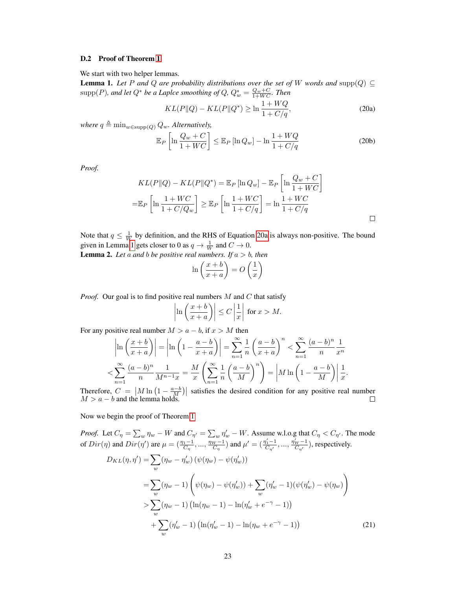#### <span id="page-22-0"></span>D.2 Proof of Theorem [1](#page-17-0)

We start with two helper lemmas.

**Lemma 1.** Let P and Q are probability distributions over the set of W words and supp( $Q$ )  $\subseteq$  $\text{supp}(P)$ *, and let*  $Q^*$  *be a Laplce smoothing of*  $Q$ *,*  $Q_w^* = \frac{Q_w + C}{1 + WC}$ *. Then* 

<span id="page-22-2"></span><span id="page-22-1"></span>
$$
KL(P||Q) - KL(P||Q^*) \ge \ln \frac{1 + WQ}{1 + C/q},
$$
\n(20a)

*where*  $q \triangleq \min_{w \in \text{supp}(Q)} Q_w$ *. Alternatively,* 

$$
\mathbb{E}_P\left[\ln\frac{Q_w+C}{1+WC}\right] \leq \mathbb{E}_P\left[\ln Q_w\right] - \ln\frac{1+WQ}{1+C/q} \tag{20b}
$$

*Proof.*

$$
KL(P||Q) - KL(P||Q^*) = \mathbb{E}_P [\ln Q_w] - \mathbb{E}_P \left[ \ln \frac{Q_w + C}{1 + WC} \right]
$$

$$
= \mathbb{E}_P \left[ \ln \frac{1 + WC}{1 + C/Q_w} \right] \ge \mathbb{E}_P \left[ \ln \frac{1 + WC}{1 + C/q} \right] = \ln \frac{1 + WC}{1 + C/q}
$$

Note that  $q \leq \frac{1}{W}$  by definition, and the RHS of Equation [20a](#page-22-1) is always non-positive. The bound given in Lemma [1](#page-22-2) gets closer to 0 as  $q \to \frac{1}{W}$  and  $C \to 0$ .

<span id="page-22-4"></span>**Lemma 2.** Let a and b be positive real numbers. If 
$$
a > b
$$
, then

$$
\ln\left(\frac{x+b}{x+a}\right) = O\left(\frac{1}{x}\right)
$$

*Proof.* Our goal is to find positive real numbers M and C that satisfy

$$
\left|\ln\left(\frac{x+b}{x+a}\right)\right| \le C\left|\frac{1}{x}\right| \text{ for } x > M.
$$

For any positive real number  $M > a - b$ , if  $x > M$  then

$$
\left|\ln\left(\frac{x+b}{x+a}\right)\right| = \left|\ln\left(1 - \frac{a-b}{x+a}\right)\right| = \sum_{n=1}^{\infty} \frac{1}{n} \left(\frac{a-b}{x+a}\right)^n < \sum_{n=1}^{\infty} \frac{(a-b)^n}{n} \frac{1}{x^n}
$$

$$
< \sum_{n=1}^{\infty} \frac{(a-b)^n}{n} \frac{1}{M^{n-1}x} = \frac{M}{x} \left(\sum_{n=1}^{\infty} \frac{1}{n} \left(\frac{a-b}{M}\right)^n\right) = \left|M\ln\left(1 - \frac{a-b}{M}\right)\right| \frac{1}{x}.
$$

Therefore,  $C = |M \ln(1 - \frac{a-b}{M})|$  satisfies the desired condition for any positive real number  $M > a - b$  and the lemma holds.

Now we begin the proof of Theorem [1](#page-17-0)

*Proof.* Let  $C_\eta = \sum_w \eta_w - W$  and  $C_{\eta'} = \sum_w \eta'_w - W$ . Assume w.l.o.g that  $C_\eta < C_{\eta'}$ . The mode of  $Dir(\eta)$  and  $Dir(\eta')$  are  $\mu = (\frac{\eta_1 - 1}{C_\eta}, ..., \frac{\eta_W - 1}{C_\eta})$  and  $\mu' = (\frac{\eta'_1 - 1}{C_{\eta'}})$  $\frac{\eta'_1-1}{C_{\eta'}}$ , ...,  $\frac{\eta'_W-1}{C_{\eta'}}$  $\frac{W^{-1}}{C_{\eta'}}$ ), respectively.

<span id="page-22-3"></span>
$$
D_{KL}(\eta, \eta') = \sum_{w} (\eta_w - \eta'_w) (\psi(\eta_w) - \psi(\eta'_w))
$$
  
= 
$$
\sum_{w} (\eta_w - 1) \left( \psi(\eta_w) - \psi(\eta'_w) \right) + \sum_{w} (\eta'_w - 1) (\psi(\eta'_w) - \psi(\eta_w))
$$
  
> 
$$
\sum_{w} (\eta_w - 1) (\ln(\eta_w - 1) - \ln(\eta'_w + e^{-\gamma} - 1))
$$
  
+ 
$$
\sum_{w} (\eta'_w - 1) (\ln(\eta'_w - 1) - \ln(\eta_w + e^{-\gamma} - 1))
$$
 (21)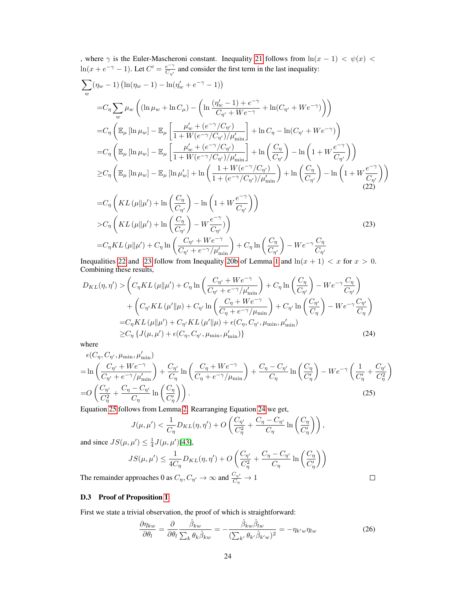, where  $\gamma$  is the Euler-Mascheroni constant. Inequality [21](#page-22-3) follows from  $\ln(x - 1) < \psi(x)$  $\ln(x + e^{-\gamma} - 1)$ . Let  $C' = \frac{e^{-\gamma}}{C}$ .  $\frac{e^{-t}}{C_{\eta'}}$  and consider the first term in the last inequality:

$$
\sum_{w} (\eta_{w} - 1) (\ln(\eta_{w} - 1) - \ln(\eta'_{w} + e^{-\gamma} - 1))
$$
\n
$$
= C_{\eta} \sum_{w} \mu_{w} ((\ln \mu_{w} + \ln C_{\mu}) - (\ln \frac{(\eta'_{w} - 1) + e^{-\gamma}}{C_{\eta'} + We^{-\gamma}} + \ln(C_{\eta'} + We^{-\gamma}))
$$
\n
$$
= C_{\eta} (\mathbb{E}_{\mu} [\ln \mu_{w}] - \mathbb{E}_{\mu} \left[ \frac{\mu'_{w} + (e^{-\gamma}/C_{\eta'})}{1 + W(e^{-\gamma}/C_{\eta'})/\mu'_{\min}} \right] + \ln C_{\eta} - \ln(C_{\eta'} + We^{-\gamma})
$$
\n
$$
= C_{\eta} (\mathbb{E}_{\mu} [\ln \mu_{w}] - \mathbb{E}_{\mu} \left[ \frac{\mu'_{w} + (e^{-\gamma}/C_{\eta'})}{1 + W(e^{-\gamma}/C_{\eta'})/\mu'_{\min}} \right] + \ln \left( \frac{C_{\eta}}{C_{\eta'}} \right) - \ln \left( 1 + W \frac{e^{-\gamma}}{C_{\eta'}} \right)
$$
\n
$$
\geq C_{\eta} (\mathbb{E}_{\mu} [\ln \mu_{w}] - \mathbb{E}_{\mu} [\ln \mu'_{w}] + \ln \left( \frac{1 + W(e^{-\gamma}/C_{\eta'})}{1 + (e^{-\gamma}/C_{\eta'})/\mu'_{\min}} \right) + \ln \left( \frac{C_{\eta}}{C_{\eta'}} \right) - \ln \left( 1 + W \frac{e^{-\gamma}}{C_{\eta'}} \right)
$$
\n
$$
= C_{\eta} \left( KL(\mu \| \mu') + \ln \left( \frac{C_{\eta}}{C_{\eta'}} \right) - \ln \left( 1 + W \frac{e^{-\gamma}}{C_{\eta'}} \right) \right)
$$
\n
$$
\geq C_{\eta} \left( KL(\mu \| \mu') + \ln \left( \frac{C_{\eta}}{C_{\eta'}} \right) - W \frac{e^{-\gamma}}{C_{\eta'}} \right)
$$
\n
$$
= C_{\eta} KL(\mu \| \mu') + C_{\eta} \ln \left( \frac{C_{\eta}}{C_{\eta'}} + \frac{W e^{-\gamma}}{W \mu'_{\min}} \right) + C_{\eta} \ln \left( \frac{C
$$

<span id="page-23-1"></span>Inequalities [22](#page-23-1) and [23](#page-23-2) follow from Inequality [20b](#page-22-2) of Lemma [1](#page-22-2) and  $\ln(x + 1) < x$  for  $x > 0$ . Combining these results,

$$
D_{KL}(\eta, \eta') > \left( C_{\eta} KL(\mu \| \mu') + C_{\eta} \ln \left( \frac{C_{\eta'} + We^{-\gamma}}{C_{\eta'} + e^{-\gamma}/\mu'_{\min}} \right) + C_{\eta} \ln \left( \frac{C_{\eta}}{C_{\eta'}} \right) - We^{-\gamma} \frac{C_{\eta}}{C_{\eta'}} \right) + \left( C_{\eta'} KL(\mu' \| \mu) + C_{\eta'} \ln \left( \frac{C_{\eta} + We^{-\gamma}}{C_{\eta} + e^{-\gamma}/\mu_{\min}} \right) + C_{\eta'} \ln \left( \frac{C_{\eta'}}{C_{\eta}} \right) - We^{-\gamma} \frac{C_{\eta'}}{C_{\eta}} \right) = C_{\eta} KL(\mu \| \mu') + C_{\eta'} KL(\mu' \| \mu) + \epsilon(C_{\eta}, C_{\eta'}, \mu_{\min}, \mu'_{\min}) \ge C_{\eta} \left\{ J(\mu, \mu') + \epsilon(C_{\eta}, C_{\eta'}, \mu_{\min}, \mu'_{\min}) \right\}
$$
(24)

where

$$
\epsilon(C_{\eta}, C_{\eta'}, \mu_{\min}, \mu'_{\min})
$$
\n
$$
= \ln \left( \frac{C_{\eta'} + W e^{-\gamma}}{C_{\eta'} + e^{-\gamma}/\mu'_{\min}} \right) + \frac{C_{\eta'}}{C_{\eta}} \ln \left( \frac{C_{\eta} + W e^{-\gamma}}{C_{\eta} + e^{-\gamma}/\mu_{\min}} \right) + \frac{C_{\eta} - C_{\eta'}}{C_{\eta}} \ln \left( \frac{C_{\eta}}{C_{\eta'}} \right) - W e^{-\gamma} \left( \frac{1}{C_{\eta'}} + \frac{C_{\eta'}}{C_{\eta}^2} \right)
$$
\n
$$
= O\left( \frac{C_{\eta'}}{C_{\eta}^2} + \frac{C_{\eta} - C_{\eta'}}{C_{\eta}} \ln \left( \frac{C_{\eta}}{C_{\eta'}} \right) \right). \tag{25}
$$

Equation [25](#page-23-3) follows from Lemma [2.](#page-22-4) Rearranging Equation [24](#page-23-4) we get,

$$
J(\mu, \mu') < \frac{1}{C_{\eta}} D_{KL}(\eta, \eta') + O\left(\frac{C_{\eta'}}{C_{\eta}^2} + \frac{C_{\eta} - C_{\eta'}}{C_{\eta}} \ln\left(\frac{C_{\eta}}{C_{\eta}'}\right)\right),
$$

and since  $JS(\mu, \mu') \leq \frac{1}{4}J(\mu, \mu')[43]$  $JS(\mu, \mu') \leq \frac{1}{4}J(\mu, \mu')[43]$ ,

$$
JS(\mu, \mu') \le \frac{1}{4C_{\eta}} D_{KL}(\eta, \eta') + O\left(\frac{C_{\eta'}}{C_{\eta}^2} + \frac{C_{\eta} - C_{\eta'}}{C_{\eta}} \ln\left(\frac{C_{\eta}}{C_{\eta}'}\right)\right)
$$

The remainder approaches 0 as  $C_{\eta}, C_{\eta} \to \infty$  and  $\frac{C_{\eta'}}{C_{\eta}} \to 1$ 

<span id="page-23-4"></span><span id="page-23-3"></span><span id="page-23-2"></span> $\Box$ 

## <span id="page-23-0"></span>D.3 Proof of Proposition [1](#page-19-1)

First we state a trivial observation, the proof of which is straightforward:

$$
\frac{\partial \eta_{kw}}{\partial \theta_l} = \frac{\partial}{\partial \theta_l} \frac{\hat{\beta}_{kw}}{\sum_k \theta_k \hat{\beta}_{kw}} = -\frac{\hat{\beta}_{kw} \hat{\beta}_{lw}}{(\sum_{k'} \theta_{k'} \hat{\beta}_{k'w})^2} = -\eta_{k'w} \eta_{lw}
$$
(26)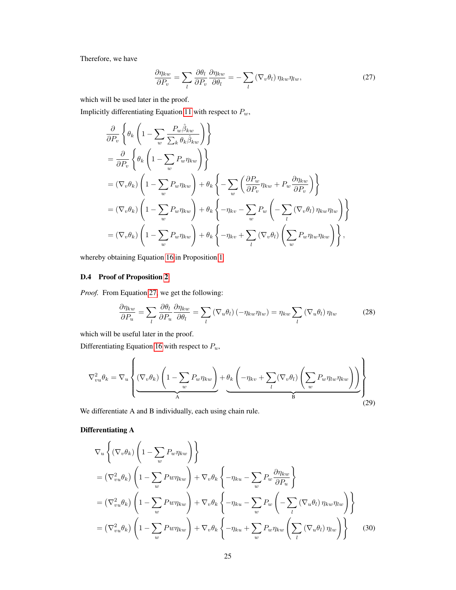Therefore, we have

<span id="page-24-1"></span>
$$
\frac{\partial \eta_{kw}}{\partial P_v} = \sum_l \frac{\partial \theta_l}{\partial P_v} \frac{\partial \eta_{kw}}{\partial \theta_l} = -\sum_l (\nabla_v \theta_l) \, \eta_{kw} \eta_{lw},\tag{27}
$$

which will be used later in the proof.

Implicitly differentiating Equation [11](#page-18-3) with respect to  $P_w$ ,

$$
\frac{\partial}{\partial P_v} \left\{ \theta_k \left( 1 - \sum_w \frac{P_w \hat{\beta}_{kw}}{\sum_k \theta_k \hat{\beta}_{kw}} \right) \right\}
$$
\n
$$
= \frac{\partial}{\partial P_v} \left\{ \theta_k \left( 1 - \sum_w P_w \eta_{kw} \right) \right\}
$$
\n
$$
= (\nabla_v \theta_k) \left( 1 - \sum_w P_w \eta_{kw} \right) + \theta_k \left\{ - \sum_w \left( \frac{\partial P_w}{\partial P_v} \eta_{kw} + P_w \frac{\partial \eta_{kw}}{\partial P_v} \right) \right\}
$$
\n
$$
= (\nabla_v \theta_k) \left( 1 - \sum_w P_w \eta_{kw} \right) + \theta_k \left\{ -\eta_{kv} - \sum_w P_w \left( - \sum_l (\nabla_v \theta_l) \eta_{kw} \eta_{lw} \right) \right\}
$$
\n
$$
= (\nabla_v \theta_k) \left( 1 - \sum_w P_w \eta_{kw} \right) + \theta_k \left\{ -\eta_{kv} + \sum_l (\nabla_v \theta_l) \left( \sum_w P_w \eta_{lw} \eta_{kw} \right) \right\},
$$

whereby obtaining Equation [16](#page-19-1) in Proposition [1](#page-19-1)

## <span id="page-24-0"></span>D.4 Proof of Proposition [2](#page-19-2)

*Proof.* From Equation [27,](#page-24-1) we get the following:

<span id="page-24-2"></span>
$$
\frac{\partial \eta_{kw}}{\partial P_u} = \sum_l \frac{\partial \theta_l}{\partial P_u} \frac{\partial \eta_{kw}}{\partial \theta_l} = \sum_l (\nabla_u \theta_l) \left( -\eta_{kw} \eta_{lw} \right) = \eta_{kw} \sum_l (\nabla_u \theta_l) \eta_{lw}
$$
(28)

which will be useful later in the proof.

Differentiating Equation [16](#page-19-1) with respect to  $P_u$ ,

$$
\nabla_{vu}^2 \theta_k = \nabla_u \left\{ \underbrace{(\nabla_v \theta_k) \left(1 - \sum_w P_w \eta_{kw}\right)}_A + \underbrace{\theta_k \left(-\eta_{kv} + \sum_l (\nabla_v \theta_l) \left(\sum_w P_w \eta_{lw} \eta_{kw}\right)\right)}_B \right\}
$$
(29)

We differentiate A and B individually, each using chain rule.

## Differentiating A

<span id="page-24-3"></span>
$$
\nabla_{u} \left\{ (\nabla_{v} \theta_{k}) \left( 1 - \sum_{w} P_{w} \eta_{kw} \right) \right\}
$$
  
=  $(\nabla_{vu}^{2} \theta_{k}) \left( 1 - \sum_{w} P_{w} \eta_{kw} \right) + \nabla_{v} \theta_{k} \left\{ -\eta_{ku} - \sum_{w} P_{w} \frac{\partial \eta_{kw}}{\partial P_{u}} \right\}$   
=  $(\nabla_{vu}^{2} \theta_{k}) \left( 1 - \sum_{w} P_{w} \eta_{kw} \right) + \nabla_{v} \theta_{k} \left\{ -\eta_{ku} - \sum_{w} P_{w} \left( - \sum_{l} (\nabla_{u} \theta_{l}) \eta_{kw} \eta_{lw} \right) \right\}$   
=  $(\nabla_{vu}^{2} \theta_{k}) \left( 1 - \sum_{w} P_{w} \eta_{kw} \right) + \nabla_{v} \theta_{k} \left\{ -\eta_{ku} + \sum_{w} P_{w} \eta_{kw} \left( \sum_{l} (\nabla_{u} \theta_{l}) \eta_{lw} \right) \right\}$  (30)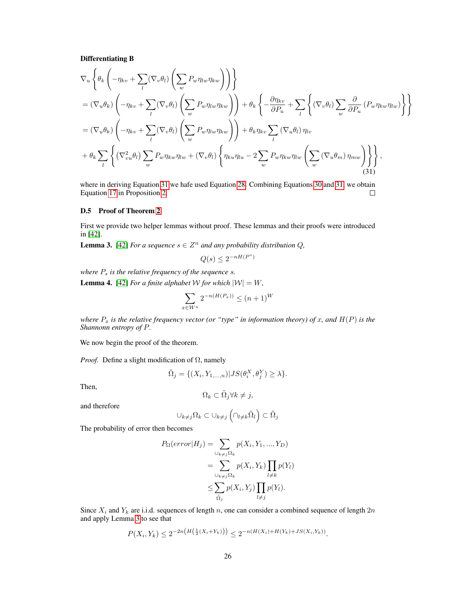## Differentiating B

$$
\nabla_{u} \left\{ \theta_{k} \left( -\eta_{kv} + \sum_{l} (\nabla_{v} \theta_{l}) \left( \sum_{w} P_{w} \eta_{lw} \eta_{kw} \right) \right) \right\}
$$
  
=\left( \nabla\_{u} \theta\_{k} \right) \left( -\eta\_{kv} + \sum\_{l} (\nabla\_{v} \theta\_{l}) \left( \sum\_{w} P\_{w} \eta\_{lw} \eta\_{kw} \right) \right) + \theta\_{k} \left\{ -\frac{\partial \eta\_{kv}}{\partial P\_{u}} + \sum\_{l} \left\{ (\nabla\_{v} \theta\_{l}) \sum\_{w} \frac{\partial}{\partial P\_{u}} (P\_{w} \eta\_{kw} \eta\_{lw}) \right\} \right\}  
=(\nabla\_{u} \theta\_{k}) \left( -\eta\_{kv} + \sum\_{l} (\nabla\_{v} \theta\_{l}) \left( \sum\_{w} P\_{w} \eta\_{lw} \eta\_{kw} \right) \right) + \theta\_{k} \eta\_{kv} \sum\_{l} (\nabla\_{u} \theta\_{l}) \eta\_{lv}  
+ \theta\_{k} \sum\_{l} \left\{ (\nabla\_{vu}^{2} \theta\_{l}) \sum\_{w} P\_{w} \eta\_{kw} \eta\_{lw} + (\nabla\_{v} \theta\_{l}) \left\{ \eta\_{ku} \eta\_{lu} - 2 \sum\_{w} P\_{w} \eta\_{kw} \eta\_{lw} \left( \sum\_{w} (\nabla\_{u} \theta\_{m}) \eta\_{mw} \right) \right\} \right\},(31)

where in deriving Equation [31](#page-25-1) we hafe used Equation [28.](#page-24-2) Combining Equations [30](#page-24-3) and [31,](#page-25-1) we obtain Equation 17 in Proposition 2. Equation [17](#page-19-2) in Proposition [2.](#page-19-2)

## <span id="page-25-0"></span>D.5 Proof of Theorem [2](#page-20-1)

First we provide two helper lemmas without proof. These lemmas and their proofs were introduced in [\[42\]](#page-15-19).

<span id="page-25-2"></span>**Lemma 3.** [\[42\]](#page-15-19) *For a sequence*  $s \in \mathbb{Z}^n$  *and any probability distribution Q,* 

<span id="page-25-1"></span>
$$
Q(s) \le 2^{-nH(P^s)}
$$

*where*  $P_s$  *is the relative frequency of the sequence s.* 

<span id="page-25-3"></span>**Lemma 4.** [\[42\]](#page-15-19) *For a finite alphabet W for which*  $|W| = W$ *,* 

$$
\sum_{x \in W^n} 2^{-n(H(P_x))} \le (n+1)^W
$$

*where*  $P_x$  *is the relative frequency vector (or "type" in information theory) of x, and*  $H(P)$  *is the Shannonn entropy of* P*.*

We now begin the proof of the theorem.

*Proof.* Define a slight modification of  $\Omega$ , namely

$$
\tilde{\Omega}_j = \{ (X_i, Y_{1,\dots,n}) | JS(\theta_i^X, \theta_j^Y) \ge \lambda \}.
$$

Then,

$$
\Omega_k \subset \tilde{\Omega}_j \forall k \neq j,
$$

and therefore

$$
\cup_{k \neq j} \Omega_k \subset \cup_{k \neq j} \left( \cap_{l \neq k} \tilde{\Omega}_l \right) \subset \tilde{\Omega}_j
$$

The probability of error then becomes

$$
P_{\Omega}(error|H_j) = \sum_{\bigcup_{k \neq j} \Omega_k} p(X_i, Y_1, ..., Y_D)
$$
  
= 
$$
\sum_{\bigcup_{k \neq j} \Omega_k} p(X_i, Y_k) \prod_{l \neq k} p(Y_l)
$$
  

$$
\leq \sum_{\tilde{\Omega}_j} p(X_i, Y_j) \prod_{l \neq j} p(Y_l).
$$

Since  $X_i$  and  $Y_k$  are i.i.d. sequences of length n, one can consider a combined sequence of length  $2n$ and apply Lemma [3](#page-25-2) to see that

$$
P(X_i, Y_k) \le 2^{-2n\left(H\left(\frac{1}{2}(X_i + Y_k)\right)\right)} \le 2^{-n(H(X_i) + H(Y_k) + JS(X_i, Y_k))}.
$$